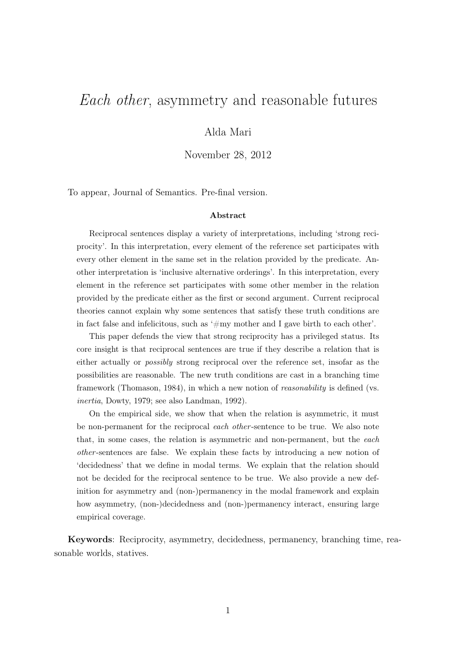# Each other, asymmetry and reasonable futures

## Alda Mari

November 28, 2012

To appear, Journal of Semantics. Pre-final version.

#### Abstract

Reciprocal sentences display a variety of interpretations, including 'strong reciprocity'. In this interpretation, every element of the reference set participates with every other element in the same set in the relation provided by the predicate. Another interpretation is 'inclusive alternative orderings'. In this interpretation, every element in the reference set participates with some other member in the relation provided by the predicate either as the first or second argument. Current reciprocal theories cannot explain why some sentences that satisfy these truth conditions are in fact false and infelicitous, such as '#my mother and I gave birth to each other'.

This paper defends the view that strong reciprocity has a privileged status. Its core insight is that reciprocal sentences are true if they describe a relation that is either actually or possibly strong reciprocal over the reference set, insofar as the possibilities are reasonable. The new truth conditions are cast in a branching time framework (Thomason, 1984), in which a new notion of reasonability is defined (vs. inertia, Dowty, 1979; see also Landman, 1992).

On the empirical side, we show that when the relation is asymmetric, it must be non-permanent for the reciprocal each other -sentence to be true. We also note that, in some cases, the relation is asymmetric and non-permanent, but the each other -sentences are false. We explain these facts by introducing a new notion of 'decidedness' that we define in modal terms. We explain that the relation should not be decided for the reciprocal sentence to be true. We also provide a new definition for asymmetry and (non-)permanency in the modal framework and explain how asymmetry, (non-)decidedness and (non-)permanency interact, ensuring large empirical coverage.

Keywords: Reciprocity, asymmetry, decidedness, permanency, branching time, reasonable worlds, statives.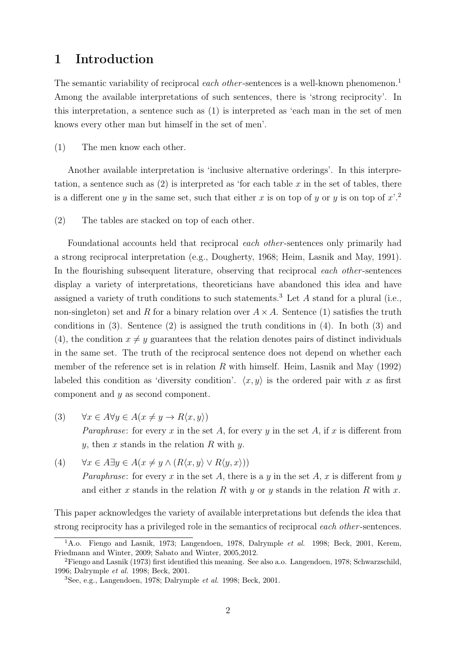# 1 Introduction

The semantic variability of reciprocal each other-sentences is a well-known phenomenon.<sup>1</sup> Among the available interpretations of such sentences, there is 'strong reciprocity'. In this interpretation, a sentence such as (1) is interpreted as 'each man in the set of men knows every other man but himself in the set of men'.

(1) The men know each other.

Another available interpretation is 'inclusive alternative orderings'. In this interpretation, a sentence such as  $(2)$  is interpreted as 'for each table x in the set of tables, there is a different one y in the same set, such that either x is on top of y or y is on top of  $x^2$ .

(2) The tables are stacked on top of each other.

Foundational accounts held that reciprocal each other -sentences only primarily had a strong reciprocal interpretation (e.g., Dougherty, 1968; Heim, Lasnik and May, 1991). In the flourishing subsequent literature, observing that reciprocal each other-sentences display a variety of interpretations, theoreticians have abandoned this idea and have assigned a variety of truth conditions to such statements.<sup>3</sup> Let  $A$  stand for a plural (i.e., non-singleton) set and R for a binary relation over  $A \times A$ . Sentence (1) satisfies the truth conditions in (3). Sentence (2) is assigned the truth conditions in (4). In both (3) and (4), the condition  $x \neq y$  guarantees that the relation denotes pairs of distinct individuals in the same set. The truth of the reciprocal sentence does not depend on whether each member of the reference set is in relation R with himself. Heim, Lasnik and May  $(1992)$ labeled this condition as 'diversity condition'.  $\langle x, y \rangle$  is the ordered pair with x as first component and y as second component.

(3)  $\forall x \in A \forall y \in A (x \neq y \rightarrow R \langle x, y \rangle)$ *Paraphrase:* for every x in the set A, for every y in the set A, if x is different from y, then x stands in the relation R with y.

(4) 
$$
\forall x \in A \exists y \in A (x \neq y \land (R \langle x, y \rangle \lor R \langle y, x \rangle))
$$

*Paraphrase:* for every x in the set A, there is a y in the set A, x is different from y and either x stands in the relation R with y or y stands in the relation R with x.

This paper acknowledges the variety of available interpretations but defends the idea that strong reciprocity has a privileged role in the semantics of reciprocal each other -sentences.

<sup>&</sup>lt;sup>1</sup>A.o. Fiengo and Lasnik, 1973; Langendoen, 1978, Dalrymple *et al.* 1998; Beck, 2001, Kerem, Friedmann and Winter, 2009; Sabato and Winter, 2005,2012.

<sup>2</sup>Fiengo and Lasnik (1973) first identified this meaning. See also a.o. Langendoen, 1978; Schwarzschild, 1996; Dalrymple et al. 1998; Beck, 2001.

 ${}^{3}$ See, e.g., Langendoen, 1978; Dalrymple *et al.* 1998; Beck, 2001.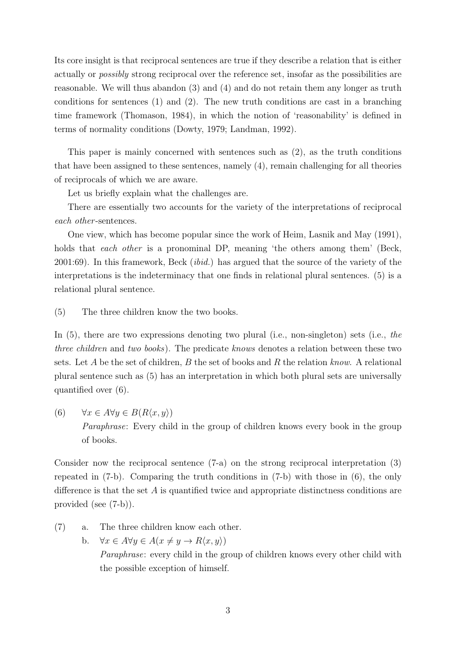Its core insight is that reciprocal sentences are true if they describe a relation that is either actually or possibly strong reciprocal over the reference set, insofar as the possibilities are reasonable. We will thus abandon (3) and (4) and do not retain them any longer as truth conditions for sentences  $(1)$  and  $(2)$ . The new truth conditions are cast in a branching time framework (Thomason, 1984), in which the notion of 'reasonability' is defined in terms of normality conditions (Dowty, 1979; Landman, 1992).

This paper is mainly concerned with sentences such as (2), as the truth conditions that have been assigned to these sentences, namely (4), remain challenging for all theories of reciprocals of which we are aware.

Let us briefly explain what the challenges are.

There are essentially two accounts for the variety of the interpretations of reciprocal each other -sentences.

One view, which has become popular since the work of Heim, Lasnik and May (1991), holds that *each other* is a pronominal DP, meaning 'the others among them' (Beck, 2001:69). In this framework, Beck (ibid.) has argued that the source of the variety of the interpretations is the indeterminacy that one finds in relational plural sentences. (5) is a relational plural sentence.

(5) The three children know the two books.

In (5), there are two expressions denoting two plural (i.e., non-singleton) sets (i.e., the three children and two books). The predicate knows denotes a relation between these two sets. Let A be the set of children, B the set of books and R the relation know. A relational plural sentence such as (5) has an interpretation in which both plural sets are universally quantified over (6).

(6)  $\forall x \in A \forall y \in B(R\langle x,y \rangle)$ Paraphrase: Every child in the group of children knows every book in the group of books.

Consider now the reciprocal sentence (7-a) on the strong reciprocal interpretation (3) repeated in (7-b). Comparing the truth conditions in (7-b) with those in (6), the only difference is that the set  $A$  is quantified twice and appropriate distinctness conditions are provided (see (7-b)).

- (7) a. The three children know each other.
	- b.  $\forall x \in A \forall y \in A \land (x \neq y \rightarrow R \langle x, y \rangle)$ Paraphrase: every child in the group of children knows every other child with the possible exception of himself.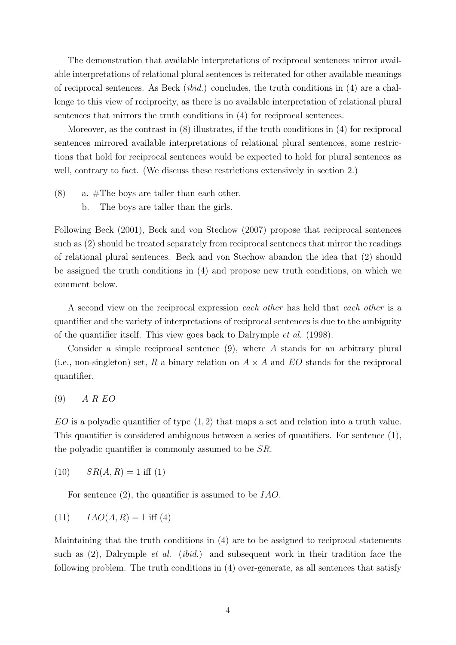The demonstration that available interpretations of reciprocal sentences mirror available interpretations of relational plural sentences is reiterated for other available meanings of reciprocal sentences. As Beck (*ibid.*) concludes, the truth conditions in (4) are a challenge to this view of reciprocity, as there is no available interpretation of relational plural sentences that mirrors the truth conditions in (4) for reciprocal sentences.

Moreover, as the contrast in (8) illustrates, if the truth conditions in (4) for reciprocal sentences mirrored available interpretations of relational plural sentences, some restrictions that hold for reciprocal sentences would be expected to hold for plural sentences as well, contrary to fact. (We discuss these restrictions extensively in section 2.)

- $(8)$  a. #The boys are taller than each other.
	- b. The boys are taller than the girls.

Following Beck (2001), Beck and von Stechow (2007) propose that reciprocal sentences such as (2) should be treated separately from reciprocal sentences that mirror the readings of relational plural sentences. Beck and von Stechow abandon the idea that (2) should be assigned the truth conditions in (4) and propose new truth conditions, on which we comment below.

A second view on the reciprocal expression each other has held that each other is a quantifier and the variety of interpretations of reciprocal sentences is due to the ambiguity of the quantifier itself. This view goes back to Dalrymple et al. (1998).

Consider a simple reciprocal sentence (9), where A stands for an arbitrary plural (i.e., non-singleton) set, R a binary relation on  $A \times A$  and EO stands for the reciprocal quantifier.

$$
(9) \qquad A \ R \ EO
$$

EO is a polyadic quantifier of type  $\langle 1, 2 \rangle$  that maps a set and relation into a truth value. This quantifier is considered ambiguous between a series of quantifiers. For sentence (1), the polyadic quantifier is commonly assumed to be SR.

(10) 
$$
SR(A, R) = 1
$$
 iff (1)

For sentence (2), the quantifier is assumed to be IAO.

(11) 
$$
IAO(A, R) = 1
$$
 iff (4)

Maintaining that the truth conditions in (4) are to be assigned to reciprocal statements such as (2), Dalrymple *et al.* (*ibid.*) and subsequent work in their tradition face the following problem. The truth conditions in (4) over-generate, as all sentences that satisfy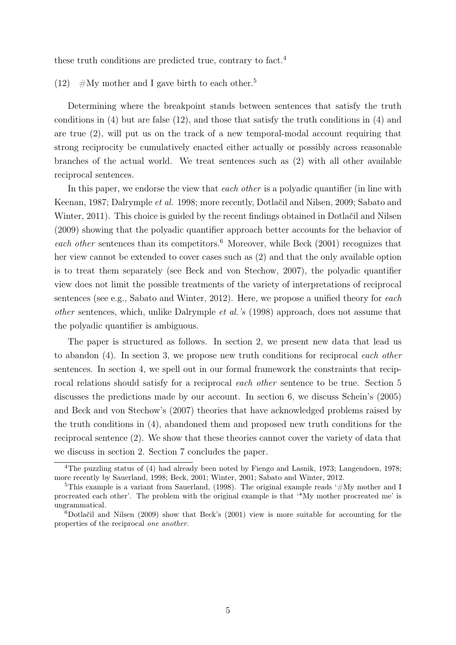these truth conditions are predicted true, contrary to fact.<sup>4</sup>

(12)  $\#Mv$  mother and I gave birth to each other.<sup>5</sup>

Determining where the breakpoint stands between sentences that satisfy the truth conditions in  $(4)$  but are false  $(12)$ , and those that satisfy the truth conditions in  $(4)$  and are true (2), will put us on the track of a new temporal-modal account requiring that strong reciprocity be cumulatively enacted either actually or possibly across reasonable branches of the actual world. We treat sentences such as (2) with all other available reciprocal sentences.

In this paper, we endorse the view that each other is a polyadic quantifier (in line with Keenan, 1987; Dalrymple et al. 1998; more recently, Dotlačil and Nilsen, 2009; Sabato and Winter, 2011). This choice is guided by the recent findings obtained in Dotlačil and Nilsen (2009) showing that the polyadic quantifier approach better accounts for the behavior of each other sentences than its competitors.<sup>6</sup> Moreover, while Beck (2001) recognizes that her view cannot be extended to cover cases such as (2) and that the only available option is to treat them separately (see Beck and von Stechow, 2007), the polyadic quantifier view does not limit the possible treatments of the variety of interpretations of reciprocal sentences (see e.g., Sabato and Winter, 2012). Here, we propose a unified theory for each other sentences, which, unlike Dalrymple et al.'s (1998) approach, does not assume that the polyadic quantifier is ambiguous.

The paper is structured as follows. In section 2, we present new data that lead us to abandon (4). In section 3, we propose new truth conditions for reciprocal each other sentences. In section 4, we spell out in our formal framework the constraints that reciprocal relations should satisfy for a reciprocal each other sentence to be true. Section 5 discusses the predictions made by our account. In section 6, we discuss Schein's (2005) and Beck and von Stechow's (2007) theories that have acknowledged problems raised by the truth conditions in (4), abandoned them and proposed new truth conditions for the reciprocal sentence (2). We show that these theories cannot cover the variety of data that we discuss in section 2. Section 7 concludes the paper.

<sup>4</sup>The puzzling status of (4) had already been noted by Fiengo and Lasnik, 1973; Langendoen, 1978; more recently by Sauerland, 1998; Beck, 2001; Winter, 2001; Sabato and Winter, 2012.

<sup>&</sup>lt;sup>5</sup>This example is a variant from Sauerland, (1998). The original example reads ' $\#My$  mother and I procreated each other'. The problem with the original example is that '\*My mother procreated me' is ungrammatical.

 $6$ Dotlačil and Nilsen (2009) show that Beck's (2001) view is more suitable for accounting for the properties of the reciprocal one another.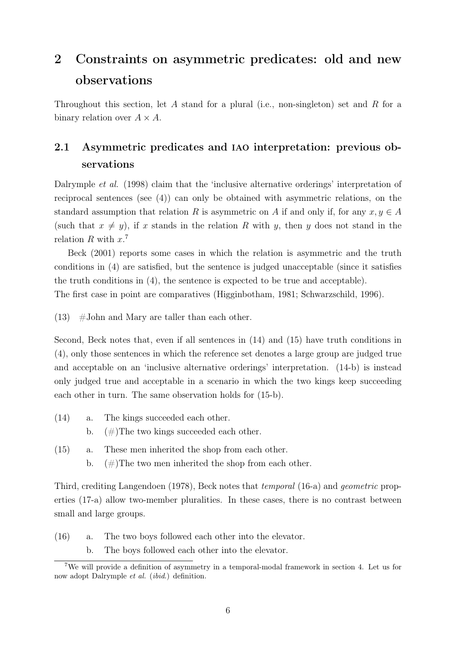# 2 Constraints on asymmetric predicates: old and new observations

Throughout this section, let A stand for a plural (i.e., non-singleton) set and R for a binary relation over  $A \times A$ .

# 2.1 Asymmetric predicates and iao interpretation: previous observations

Dalrymple *et al.* (1998) claim that the 'inclusive alternative orderings' interpretation of reciprocal sentences (see (4)) can only be obtained with asymmetric relations, on the standard assumption that relation R is asymmetric on A if and only if, for any  $x, y \in A$ (such that  $x \neq y$ ), if x stands in the relation R with y, then y does not stand in the relation R with  $x$ <sup>7</sup>

Beck (2001) reports some cases in which the relation is asymmetric and the truth conditions in (4) are satisfied, but the sentence is judged unacceptable (since it satisfies the truth conditions in (4), the sentence is expected to be true and acceptable). The first case in point are comparatives (Higginbotham, 1981; Schwarzschild, 1996).

 $(13)$  #John and Mary are taller than each other.

Second, Beck notes that, even if all sentences in (14) and (15) have truth conditions in (4), only those sentences in which the reference set denotes a large group are judged true and acceptable on an 'inclusive alternative orderings' interpretation. (14-b) is instead only judged true and acceptable in a scenario in which the two kings keep succeeding each other in turn. The same observation holds for (15-b).

- (14) a. The kings succeeded each other.
	- b.  $(\#)$ The two kings succeeded each other.
- (15) a. These men inherited the shop from each other.
	- b.  $(\#)$ The two men inherited the shop from each other.

Third, crediting Langendoen (1978), Beck notes that temporal (16-a) and geometric properties (17-a) allow two-member pluralities. In these cases, there is no contrast between small and large groups.

- (16) a. The two boys followed each other into the elevator.
	- b. The boys followed each other into the elevator.

<sup>7</sup>We will provide a definition of asymmetry in a temporal-modal framework in section 4. Let us for now adopt Dalrymple et al. (ibid.) definition.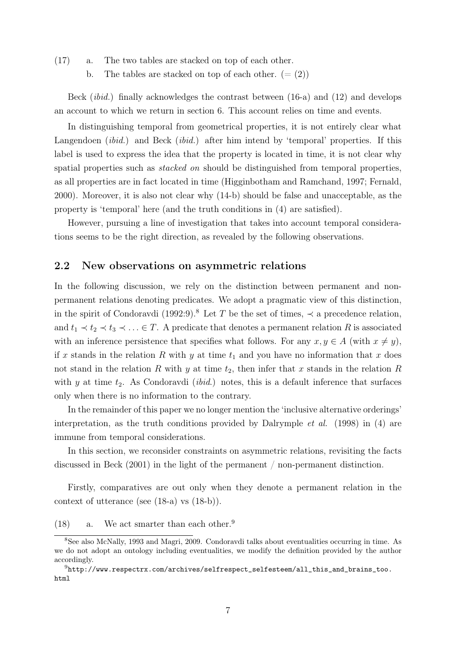- (17) a. The two tables are stacked on top of each other.
	- b. The tables are stacked on top of each other.  $(=(2))$

Beck (ibid.) finally acknowledges the contrast between (16-a) and (12) and develops an account to which we return in section 6. This account relies on time and events.

In distinguishing temporal from geometrical properties, it is not entirely clear what Langendoen *(ibid.)* and Beck *(ibid.)* after him intend by 'temporal' properties. If this label is used to express the idea that the property is located in time, it is not clear why spatial properties such as *stacked on* should be distinguished from temporal properties, as all properties are in fact located in time (Higginbotham and Ramchand, 1997; Fernald, 2000). Moreover, it is also not clear why (14-b) should be false and unacceptable, as the property is 'temporal' here (and the truth conditions in (4) are satisfied).

However, pursuing a line of investigation that takes into account temporal considerations seems to be the right direction, as revealed by the following observations.

## 2.2 New observations on asymmetric relations

In the following discussion, we rely on the distinction between permanent and nonpermanent relations denoting predicates. We adopt a pragmatic view of this distinction, in the spirit of Condoravdi (1992:9).<sup>8</sup> Let T be the set of times,  $\prec$  a precedence relation, and  $t_1 \prec t_2 \prec t_3 \prec \ldots \in T$ . A predicate that denotes a permanent relation R is associated with an inference persistence that specifies what follows. For any  $x, y \in A$  (with  $x \neq y$ ), if x stands in the relation R with y at time  $t_1$  and you have no information that x does not stand in the relation R with y at time  $t_2$ , then infer that x stands in the relation R with y at time  $t_2$ . As Condoravdi *(ibid.)* notes, this is a default inference that surfaces only when there is no information to the contrary.

In the remainder of this paper we no longer mention the 'inclusive alternative orderings' interpretation, as the truth conditions provided by Dalrymple et al. (1998) in (4) are immune from temporal considerations.

In this section, we reconsider constraints on asymmetric relations, revisiting the facts discussed in Beck (2001) in the light of the permanent / non-permanent distinction.

Firstly, comparatives are out only when they denote a permanent relation in the context of utterance (see (18-a) vs (18-b)).

(18) a. We act smarter than each other.<sup>9</sup>

<sup>8</sup>See also McNally, 1993 and Magri, 2009. Condoravdi talks about eventualities occurring in time. As we do not adopt an ontology including eventualities, we modify the definition provided by the author accordingly.

<sup>9</sup>http://www.respectrx.com/archives/selfrespect\_selfesteem/all\_this\_and\_brains\_too. html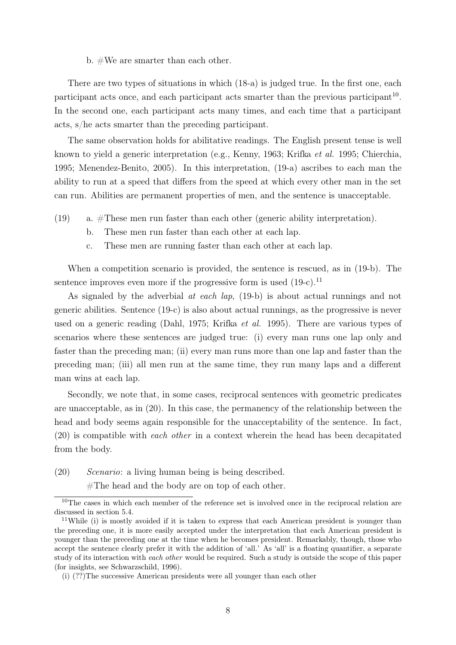b. #We are smarter than each other.

There are two types of situations in which (18-a) is judged true. In the first one, each participant acts once, and each participant acts smarter than the previous participant<sup>10</sup>. In the second one, each participant acts many times, and each time that a participant acts, s/he acts smarter than the preceding participant.

The same observation holds for abilitative readings. The English present tense is well known to yield a generic interpretation (e.g., Kenny, 1963; Krifka et al. 1995; Chierchia, 1995; Menendez-Benito, 2005). In this interpretation, (19-a) ascribes to each man the ability to run at a speed that differs from the speed at which every other man in the set can run. Abilities are permanent properties of men, and the sentence is unacceptable.

- (19) a.  $\#$ These men run faster than each other (generic ability interpretation).
	- b. These men run faster than each other at each lap.
	- c. These men are running faster than each other at each lap.

When a competition scenario is provided, the sentence is rescued, as in (19-b). The sentence improves even more if the progressive form is used  $(19-c)^{11}$ 

As signaled by the adverbial at each lap, (19-b) is about actual runnings and not generic abilities. Sentence (19-c) is also about actual runnings, as the progressive is never used on a generic reading (Dahl, 1975; Krifka et al. 1995). There are various types of scenarios where these sentences are judged true: (i) every man runs one lap only and faster than the preceding man; (ii) every man runs more than one lap and faster than the preceding man; (iii) all men run at the same time, they run many laps and a different man wins at each lap.

Secondly, we note that, in some cases, reciprocal sentences with geometric predicates are unacceptable, as in (20). In this case, the permanency of the relationship between the head and body seems again responsible for the unacceptability of the sentence. In fact, (20) is compatible with each other in a context wherein the head has been decapitated from the body.

(20) Scenario: a living human being is being described. #The head and the body are on top of each other.

 $10$ The cases in which each member of the reference set is involved once in the reciprocal relation are discussed in section 5.4.

<sup>&</sup>lt;sup>11</sup>While (i) is mostly avoided if it is taken to express that each American president is younger than the preceding one, it is more easily accepted under the interpretation that each American president is younger than the preceding one at the time when he becomes president. Remarkably, though, those who accept the sentence clearly prefer it with the addition of 'all.' As 'all' is a floating quantifier, a separate study of its interaction with each other would be required. Such a study is outside the scope of this paper (for insights, see Schwarzschild, 1996).

<sup>(</sup>i) (??)The successive American presidents were all younger than each other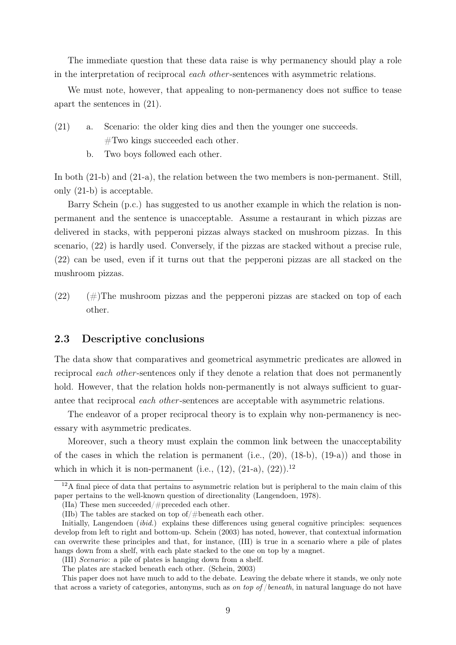The immediate question that these data raise is why permanency should play a role in the interpretation of reciprocal each other -sentences with asymmetric relations.

We must note, however, that appealing to non-permanency does not suffice to tease apart the sentences in (21).

- (21) a. Scenario: the older king dies and then the younger one succeeds. #Two kings succeeded each other.
	- b. Two boys followed each other.

In both (21-b) and (21-a), the relation between the two members is non-permanent. Still, only (21-b) is acceptable.

Barry Schein (p.c.) has suggested to us another example in which the relation is nonpermanent and the sentence is unacceptable. Assume a restaurant in which pizzas are delivered in stacks, with pepperoni pizzas always stacked on mushroom pizzas. In this scenario, (22) is hardly used. Conversely, if the pizzas are stacked without a precise rule, (22) can be used, even if it turns out that the pepperoni pizzas are all stacked on the mushroom pizzas.

 $(22)$  (#)The mushroom pizzas and the pepperoni pizzas are stacked on top of each other.

## 2.3 Descriptive conclusions

The data show that comparatives and geometrical asymmetric predicates are allowed in reciprocal each other -sentences only if they denote a relation that does not permanently hold. However, that the relation holds non-permanently is not always sufficient to guarantee that reciprocal each other -sentences are acceptable with asymmetric relations.

The endeavor of a proper reciprocal theory is to explain why non-permanency is necessary with asymmetric predicates.

Moreover, such a theory must explain the common link between the unacceptability of the cases in which the relation is permanent (i.e.,  $(20)$ ,  $(18-b)$ ,  $(19-a)$ ) and those in which in which it is non-permanent (i.e.,  $(12)$ ,  $(21-a)$ ,  $(22)$ ).<sup>12</sup>

(III) Scenario: a pile of plates is hanging down from a shelf.

 $12A$  final piece of data that pertains to asymmetric relation but is peripheral to the main claim of this paper pertains to the well-known question of directionality (Langendoen, 1978).

<sup>(</sup>IIa) These men succeeded/#preceded each other.

<sup>(</sup>IIb) The tables are stacked on top of/#beneath each other.

Initially, Langendoen (*ibid.*) explains these differences using general cognitive principles: sequences develop from left to right and bottom-up. Schein (2003) has noted, however, that contextual information can overwrite these principles and that, for instance, (III) is true in a scenario where a pile of plates hangs down from a shelf, with each plate stacked to the one on top by a magnet.

The plates are stacked beneath each other. (Schein, 2003)

This paper does not have much to add to the debate. Leaving the debate where it stands, we only note that across a variety of categories, antonyms, such as *on top of /beneath*, in natural language do not have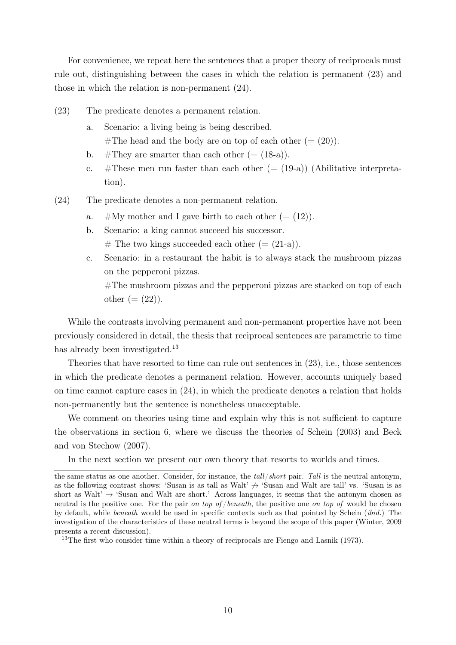For convenience, we repeat here the sentences that a proper theory of reciprocals must rule out, distinguishing between the cases in which the relation is permanent (23) and those in which the relation is non-permanent (24).

- (23) The predicate denotes a permanent relation.
	- a. Scenario: a living being is being described.

#The head and the body are on top of each other  $(=(20))$ .

- b. #They are smarter than each other  $(=(18-a))$ .
- c. #These men run faster than each other  $(=(19-a))$  (Abilitative interpretation).
- (24) The predicate denotes a non-permanent relation.
	- a.  $\#Mv$  mother and I gave birth to each other  $(=(12))$ .
	- b. Scenario: a king cannot succeed his successor.
		- # The two kings succeeded each other  $(=(21-a))$ .
	- c. Scenario: in a restaurant the habit is to always stack the mushroom pizzas on the pepperoni pizzas.
		- $#The$  mushroom pizzas and the pepperoni pizzas are stacked on top of each other  $(=(22))$ .

While the contrasts involving permanent and non-permanent properties have not been previously considered in detail, the thesis that reciprocal sentences are parametric to time has already been investigated.<sup>13</sup>

Theories that have resorted to time can rule out sentences in (23), i.e., those sentences in which the predicate denotes a permanent relation. However, accounts uniquely based on time cannot capture cases in (24), in which the predicate denotes a relation that holds non-permanently but the sentence is nonetheless unacceptable.

We comment on theories using time and explain why this is not sufficient to capture the observations in section 6, where we discuss the theories of Schein (2003) and Beck and von Stechow (2007).

In the next section we present our own theory that resorts to worlds and times.

the same status as one another. Consider, for instance, the tall/short pair. Tall is the neutral antonym, as the following contrast shows: 'Susan is as tall as Walt'  $\leftrightarrow$  'Susan and Walt are tall' vs. 'Susan is as short as Walt'  $\rightarrow$  'Susan and Walt are short.' Across languages, it seems that the antonym chosen as neutral is the positive one. For the pair on top of *beneath*, the positive one on top of would be chosen by default, while beneath would be used in specific contexts such as that pointed by Schein (ibid.) The investigation of the characteristics of these neutral terms is beyond the scope of this paper (Winter, 2009 presents a recent discussion).

<sup>&</sup>lt;sup>13</sup>The first who consider time within a theory of reciprocals are Fiengo and Lasnik (1973).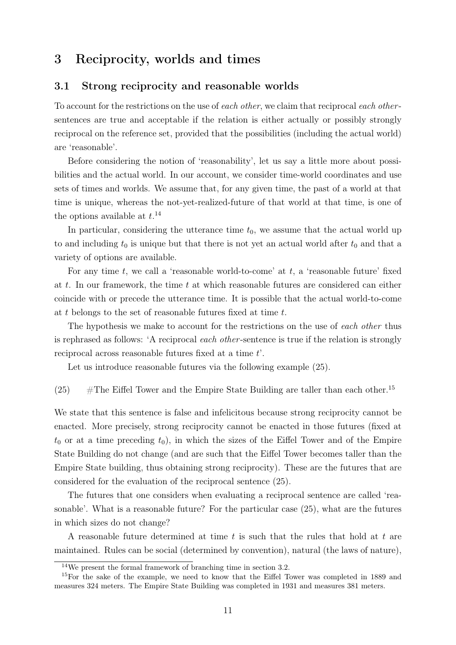# 3 Reciprocity, worlds and times

## 3.1 Strong reciprocity and reasonable worlds

To account for the restrictions on the use of each other, we claim that reciprocal each othersentences are true and acceptable if the relation is either actually or possibly strongly reciprocal on the reference set, provided that the possibilities (including the actual world) are 'reasonable'.

Before considering the notion of 'reasonability', let us say a little more about possibilities and the actual world. In our account, we consider time-world coordinates and use sets of times and worlds. We assume that, for any given time, the past of a world at that time is unique, whereas the not-yet-realized-future of that world at that time, is one of the options available at  $t.^{14}$ 

In particular, considering the utterance time  $t_0$ , we assume that the actual world up to and including  $t_0$  is unique but that there is not yet an actual world after  $t_0$  and that a variety of options are available.

For any time  $t$ , we call a 'reasonable world-to-come' at  $t$ , a 'reasonable future' fixed at t. In our framework, the time t at which reasonable futures are considered can either coincide with or precede the utterance time. It is possible that the actual world-to-come at t belongs to the set of reasonable futures fixed at time t.

The hypothesis we make to account for the restrictions on the use of each other thus is rephrased as follows: 'A reciprocal each other -sentence is true if the relation is strongly reciprocal across reasonable futures fixed at a time t'.

Let us introduce reasonable futures via the following example  $(25)$ .

(25)  $\#$ The Eiffel Tower and the Empire State Building are taller than each other.<sup>15</sup>

We state that this sentence is false and infelicitous because strong reciprocity cannot be enacted. More precisely, strong reciprocity cannot be enacted in those futures (fixed at  $t_0$  or at a time preceding  $t_0$ , in which the sizes of the Eiffel Tower and of the Empire State Building do not change (and are such that the Eiffel Tower becomes taller than the Empire State building, thus obtaining strong reciprocity). These are the futures that are considered for the evaluation of the reciprocal sentence (25).

The futures that one considers when evaluating a reciprocal sentence are called 'reasonable'. What is a reasonable future? For the particular case (25), what are the futures in which sizes do not change?

A reasonable future determined at time  $t$  is such that the rules that hold at  $t$  are maintained. Rules can be social (determined by convention), natural (the laws of nature),

<sup>14</sup>We present the formal framework of branching time in section 3.2.

<sup>&</sup>lt;sup>15</sup>For the sake of the example, we need to know that the Eiffel Tower was completed in 1889 and measures 324 meters. The Empire State Building was completed in 1931 and measures 381 meters.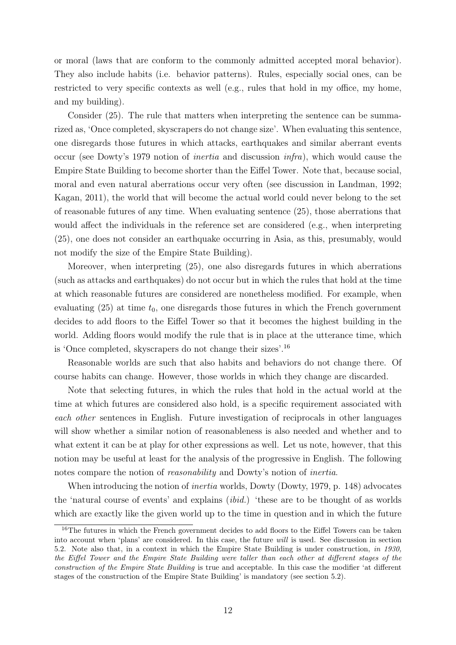or moral (laws that are conform to the commonly admitted accepted moral behavior). They also include habits (i.e. behavior patterns). Rules, especially social ones, can be restricted to very specific contexts as well (e.g., rules that hold in my office, my home, and my building).

Consider (25). The rule that matters when interpreting the sentence can be summarized as, 'Once completed, skyscrapers do not change size'. When evaluating this sentence, one disregards those futures in which attacks, earthquakes and similar aberrant events occur (see Dowty's 1979 notion of inertia and discussion infra), which would cause the Empire State Building to become shorter than the Eiffel Tower. Note that, because social, moral and even natural aberrations occur very often (see discussion in Landman, 1992; Kagan, 2011), the world that will become the actual world could never belong to the set of reasonable futures of any time. When evaluating sentence (25), those aberrations that would affect the individuals in the reference set are considered (e.g., when interpreting (25), one does not consider an earthquake occurring in Asia, as this, presumably, would not modify the size of the Empire State Building).

Moreover, when interpreting (25), one also disregards futures in which aberrations (such as attacks and earthquakes) do not occur but in which the rules that hold at the time at which reasonable futures are considered are nonetheless modified. For example, when evaluating  $(25)$  at time  $t_0$ , one disregards those futures in which the French government decides to add floors to the Eiffel Tower so that it becomes the highest building in the world. Adding floors would modify the rule that is in place at the utterance time, which is 'Once completed, skyscrapers do not change their sizes'.<sup>16</sup>

Reasonable worlds are such that also habits and behaviors do not change there. Of course habits can change. However, those worlds in which they change are discarded.

Note that selecting futures, in which the rules that hold in the actual world at the time at which futures are considered also hold, is a specific requirement associated with each other sentences in English. Future investigation of reciprocals in other languages will show whether a similar notion of reasonableness is also needed and whether and to what extent it can be at play for other expressions as well. Let us note, however, that this notion may be useful at least for the analysis of the progressive in English. The following notes compare the notion of *reasonability* and Dowty's notion of *inertia*.

When introducing the notion of *inertia* worlds, Dowty (Dowty, 1979, p. 148) advocates the 'natural course of events' and explains (ibid.) 'these are to be thought of as worlds which are exactly like the given world up to the time in question and in which the future

<sup>&</sup>lt;sup>16</sup>The futures in which the French government decides to add floors to the Eiffel Towers can be taken into account when 'plans' are considered. In this case, the future will is used. See discussion in section 5.2. Note also that, in a context in which the Empire State Building is under construction, in 1930, the Eiffel Tower and the Empire State Building were taller than each other at different stages of the construction of the Empire State Building is true and acceptable. In this case the modifier 'at different stages of the construction of the Empire State Building' is mandatory (see section 5.2).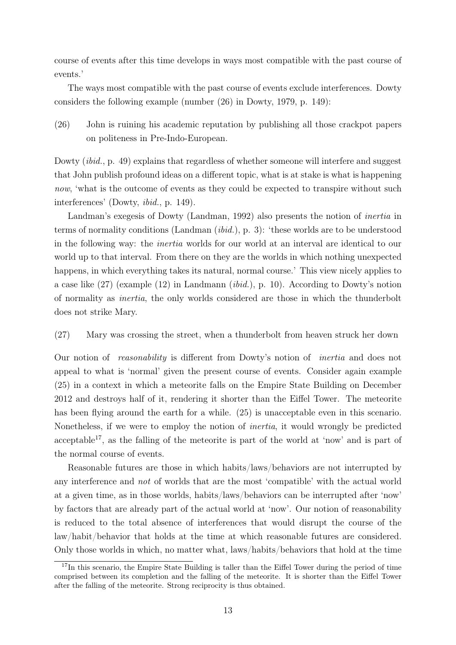course of events after this time develops in ways most compatible with the past course of events.'

The ways most compatible with the past course of events exclude interferences. Dowty considers the following example (number (26) in Dowty, 1979, p. 149):

(26) John is ruining his academic reputation by publishing all those crackpot papers on politeness in Pre-Indo-European.

Dowty *(ibid., p.* 49) explains that regardless of whether someone will interfere and suggest that John publish profound ideas on a different topic, what is at stake is what is happening now, 'what is the outcome of events as they could be expected to transpire without such interferences' (Dowty, ibid., p. 149).

Landman's exegesis of Dowty (Landman, 1992) also presents the notion of inertia in terms of normality conditions (Landman (ibid.), p. 3): 'these worlds are to be understood in the following way: the inertia worlds for our world at an interval are identical to our world up to that interval. From there on they are the worlds in which nothing unexpected happens, in which everything takes its natural, normal course.' This view nicely applies to a case like  $(27)$  (example  $(12)$  in Landmann  $(ibid.)$ , p. 10). According to Dowty's notion of normality as inertia, the only worlds considered are those in which the thunderbolt does not strike Mary.

#### (27) Mary was crossing the street, when a thunderbolt from heaven struck her down

Our notion of reasonability is different from Dowty's notion of inertia and does not appeal to what is 'normal' given the present course of events. Consider again example (25) in a context in which a meteorite falls on the Empire State Building on December 2012 and destroys half of it, rendering it shorter than the Eiffel Tower. The meteorite has been flying around the earth for a while. (25) is unacceptable even in this scenario. Nonetheless, if we were to employ the notion of inertia, it would wrongly be predicted acceptable<sup>17</sup>, as the falling of the meteorite is part of the world at 'now' and is part of the normal course of events.

Reasonable futures are those in which habits/laws/behaviors are not interrupted by any interference and not of worlds that are the most 'compatible' with the actual world at a given time, as in those worlds, habits/laws/behaviors can be interrupted after 'now' by factors that are already part of the actual world at 'now'. Our notion of reasonability is reduced to the total absence of interferences that would disrupt the course of the law/habit/behavior that holds at the time at which reasonable futures are considered. Only those worlds in which, no matter what, laws/habits/behaviors that hold at the time

<sup>&</sup>lt;sup>17</sup>In this scenario, the Empire State Building is taller than the Eiffel Tower during the period of time comprised between its completion and the falling of the meteorite. It is shorter than the Eiffel Tower after the falling of the meteorite. Strong reciprocity is thus obtained.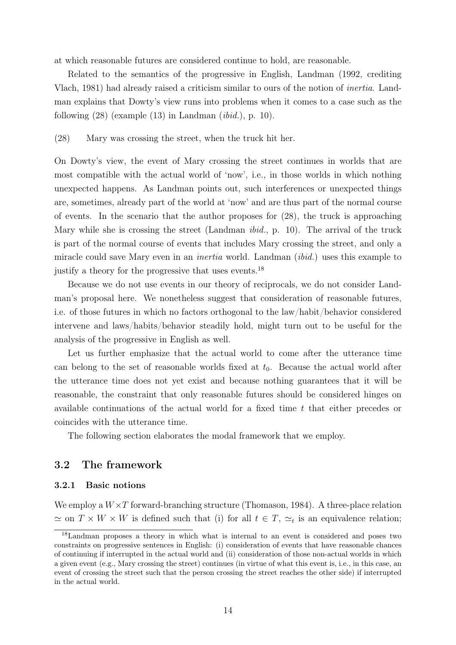at which reasonable futures are considered continue to hold, are reasonable.

Related to the semantics of the progressive in English, Landman (1992, crediting Vlach, 1981) had already raised a criticism similar to ours of the notion of inertia. Landman explains that Dowty's view runs into problems when it comes to a case such as the following  $(28)$  (example  $(13)$  in Landman  $(\textit{ibid.})$ , p. 10).

(28) Mary was crossing the street, when the truck hit her.

On Dowty's view, the event of Mary crossing the street continues in worlds that are most compatible with the actual world of 'now', i.e., in those worlds in which nothing unexpected happens. As Landman points out, such interferences or unexpected things are, sometimes, already part of the world at 'now' and are thus part of the normal course of events. In the scenario that the author proposes for (28), the truck is approaching Mary while she is crossing the street (Landman ibid., p. 10). The arrival of the truck is part of the normal course of events that includes Mary crossing the street, and only a miracle could save Mary even in an inertia world. Landman (ibid.) uses this example to justify a theory for the progressive that uses events.<sup>18</sup>

Because we do not use events in our theory of reciprocals, we do not consider Landman's proposal here. We nonetheless suggest that consideration of reasonable futures, i.e. of those futures in which no factors orthogonal to the law/habit/behavior considered intervene and laws/habits/behavior steadily hold, might turn out to be useful for the analysis of the progressive in English as well.

Let us further emphasize that the actual world to come after the utterance time can belong to the set of reasonable worlds fixed at  $t_0$ . Because the actual world after the utterance time does not yet exist and because nothing guarantees that it will be reasonable, the constraint that only reasonable futures should be considered hinges on available continuations of the actual world for a fixed time t that either precedes or coincides with the utterance time.

The following section elaborates the modal framework that we employ.

## 3.2 The framework

#### 3.2.1 Basic notions

We employ a  $W \times T$  forward-branching structure (Thomason, 1984). A three-place relation  $\simeq$  on  $T \times W \times W$  is defined such that (i) for all  $t \in T$ ,  $\simeq_t$  is an equivalence relation;

<sup>18</sup>Landman proposes a theory in which what is internal to an event is considered and poses two constraints on progressive sentences in English: (i) consideration of events that have reasonable chances of continuing if interrupted in the actual world and (ii) consideration of those non-actual worlds in which a given event (e.g., Mary crossing the street) continues (in virtue of what this event is, i.e., in this case, an event of crossing the street such that the person crossing the street reaches the other side) if interrupted in the actual world.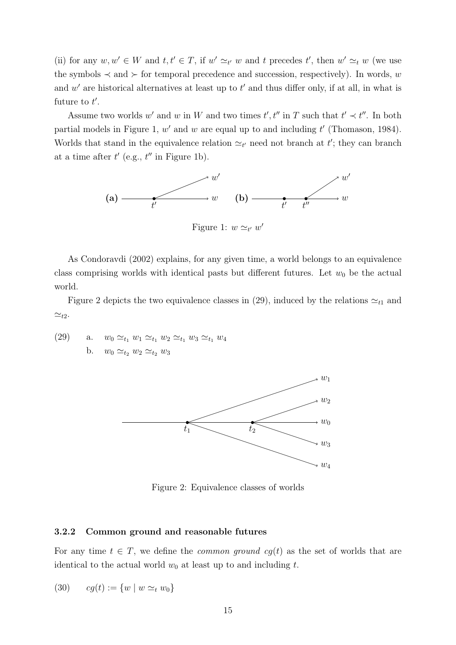(ii) for any  $w, w' \in W$  and  $t, t' \in T$ , if  $w' \simeq_{t'} w$  and t precedes t', then  $w' \simeq_t w$  (we use the symbols  $\prec$  and  $\succ$  for temporal precedence and succession, respectively). In words, w and  $w'$  are historical alternatives at least up to  $t'$  and thus differ only, if at all, in what is future to  $t'$ .

Assume two worlds w' and w in W and two times  $t', t''$  in T such that  $t' \prec t''$ . In both partial models in Figure 1,  $w'$  and  $w$  are equal up to and including  $t'$  (Thomason, 1984). Worlds that stand in the equivalence relation  $\simeq_{t'}$  need not branch at t'; they can branch at a time after  $t'$  (e.g.,  $t''$  in Figure 1b).



Figure 1:  $w \simeq_{t'} w'$ 

As Condoravdi (2002) explains, for any given time, a world belongs to an equivalence class comprising worlds with identical pasts but different futures. Let  $w_0$  be the actual world.

Figure 2 depicts the two equivalence classes in (29), induced by the relations  $\simeq_{t_1}$  and  $\simeq_{t2}$ .

(29) a.  $w_0 \simeq_{t_1} w_1 \simeq_{t_1} w_2 \simeq_{t_1} w_3 \simeq_{t_1} w_4$ b.  $w_0 \simeq_{t_2} w_2 \simeq_{t_2} w_3$ 



Figure 2: Equivalence classes of worlds

#### 3.2.2 Common ground and reasonable futures

For any time  $t \in T$ , we define the *common ground cq(t)* as the set of worlds that are identical to the actual world  $w_0$  at least up to and including  $t$ .

(30)  $cq(t) := \{w \mid w \simeq_t w_0\}$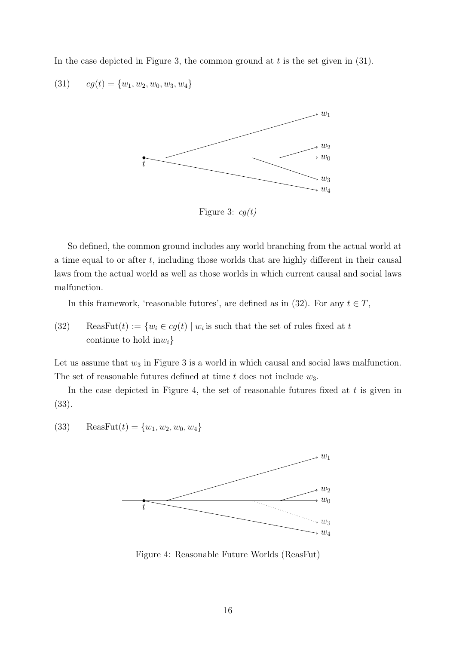In the case depicted in Figure 3, the common ground at  $t$  is the set given in (31).

(31)  $cg(t) = \{w_1, w_2, w_0, w_3, w_4\}$ 



Figure 3:  $cg(t)$ 

So defined, the common ground includes any world branching from the actual world at a time equal to or after t, including those worlds that are highly different in their causal laws from the actual world as well as those worlds in which current causal and social laws malfunction.

In this framework, 'reasonable futures', are defined as in (32). For any  $t \in T$ ,

(32) ReasFut(t) :=  $\{w_i \in cg(t) \mid w_i\}$  is such that the set of rules fixed at t continue to hold  $\text{in}w_i$ 

Let us assume that  $w_3$  in Figure 3 is a world in which causal and social laws malfunction. The set of reasonable futures defined at time t does not include  $w_3$ .

In the case depicted in Figure 4, the set of reasonable futures fixed at  $t$  is given in (33).

(33) 
$$
Reason(t) = \{w_1, w_2, w_0, w_4\}
$$



Figure 4: Reasonable Future Worlds (ReasFut)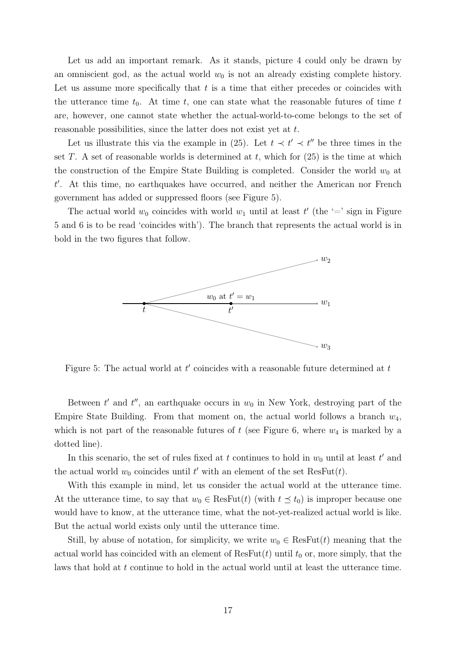Let us add an important remark. As it stands, picture 4 could only be drawn by an omniscient god, as the actual world  $w_0$  is not an already existing complete history. Let us assume more specifically that  $t$  is a time that either precedes or coincides with the utterance time  $t_0$ . At time t, one can state what the reasonable futures of time t are, however, one cannot state whether the actual-world-to-come belongs to the set of reasonable possibilities, since the latter does not exist yet at t.

Let us illustrate this via the example in (25). Let  $t \prec t' \prec t''$  be three times in the set T. A set of reasonable worlds is determined at t, which for  $(25)$  is the time at which the construction of the Empire State Building is completed. Consider the world  $w_0$  at t'. At this time, no earthquakes have occurred, and neither the American nor French government has added or suppressed floors (see Figure 5).

The actual world  $w_0$  coincides with world  $w_1$  until at least  $t'$  (the '=' sign in Figure 5 and 6 is to be read 'coincides with'). The branch that represents the actual world is in bold in the two figures that follow.



Figure 5: The actual world at  $t'$  coincides with a reasonable future determined at  $t$ 

Between  $t'$  and  $t''$ , an earthquake occurs in  $w_0$  in New York, destroying part of the Empire State Building. From that moment on, the actual world follows a branch  $w_4$ , which is not part of the reasonable futures of  $t$  (see Figure 6, where  $w_4$  is marked by a dotted line).

In this scenario, the set of rules fixed at t continues to hold in  $w_0$  until at least t' and the actual world  $w_0$  coincides until  $t'$  with an element of the set ResFut(*t*).

With this example in mind, let us consider the actual world at the utterance time. At the utterance time, to say that  $w_0 \in \text{ResFut}(t)$  (with  $t \leq t_0$ ) is improper because one would have to know, at the utterance time, what the not-yet-realized actual world is like. But the actual world exists only until the utterance time.

Still, by abuse of notation, for simplicity, we write  $w_0 \in \text{ResFut}(t)$  meaning that the actual world has coincided with an element of  $\text{ResFut}(t)$  until  $t_0$  or, more simply, that the laws that hold at t continue to hold in the actual world until at least the utterance time.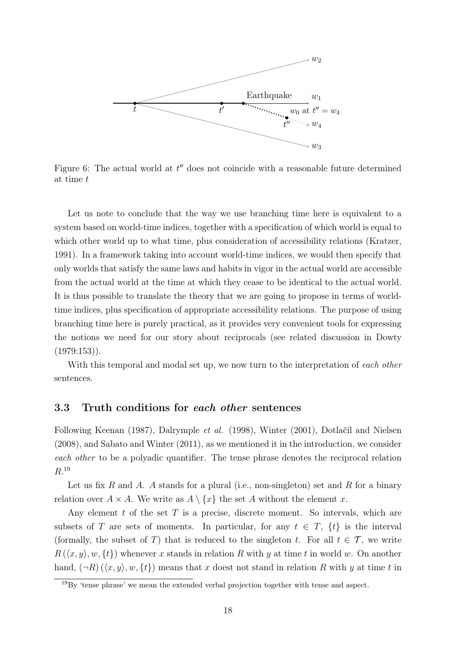

Figure 6: The actual world at  $t''$  does not coincide with a reasonable future determined at time t

Let us note to conclude that the way we use branching time here is equivalent to a system based on world-time indices, together with a specification of which world is equal to which other world up to what time, plus consideration of accessibility relations (Kratzer, 1991). In a framework taking into account world-time indices, we would then specify that only worlds that satisfy the same laws and habits in vigor in the actual world are accessible from the actual world at the time at which they cease to be identical to the actual world. It is thus possible to translate the theory that we are going to propose in terms of worldtime indices, plus specification of appropriate accessibility relations. The purpose of using branching time here is purely practical, as it provides very convenient tools for expressing the notions we need for our story about reciprocals (see related discussion in Dowty  $(1979:153)$ .

With this temporal and modal set up, we now turn to the interpretation of each other sentences.

## 3.3 Truth conditions for each other sentences

Following Keenan (1987), Dalrymple et al. (1998), Winter (2001), Dotlačil and Nielsen (2008), and Sabato and Winter (2011), as we mentioned it in the introduction, we consider each other to be a polyadic quantifier. The tense phrase denotes the reciprocal relation  $R.^{19}$ 

Let us fix R and A. A stands for a plural (i.e., non-singleton) set and R for a binary relation over  $A \times A$ . We write as  $A \setminus \{x\}$  the set A without the element x.

Any element  $t$  of the set  $T$  is a precise, discrete moment. So intervals, which are subsets of T are sets of moments. In particular, for any  $t \in T$ ,  $\{t\}$  is the interval (formally, the subset of T) that is reduced to the singleton t. For all  $t \in \mathcal{T}$ , we write  $R(\langle x, y \rangle, w, \{t\})$  whenever x stands in relation R with y at time t in world w. On another hand,  $(\neg R)(\langle x, y \rangle, w, \{t\})$  means that x doest not stand in relation R with y at time t in

<sup>&</sup>lt;sup>19</sup>By 'tense phrase' we mean the extended verbal projection together with tense and aspect.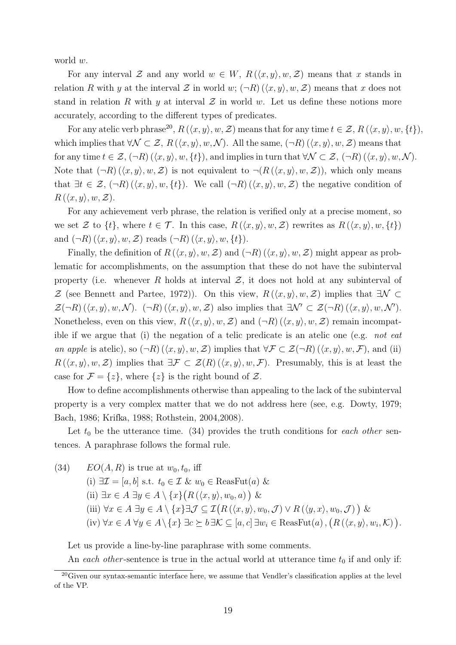world w.

For any interval Z and any world  $w \in W$ ,  $R(\langle x, y \rangle, w, \mathcal{Z})$  means that x stands in relation R with y at the interval Z in world w;  $(\neg R)(\langle x, y \rangle, w, \mathcal{Z})$  means that x does not stand in relation R with y at interval  $\mathcal Z$  in world w. Let us define these notions more accurately, according to the different types of predicates.

For any atelic verb phrase<sup>20</sup>,  $R(\langle x, y \rangle, w, \mathcal{Z})$  means that for any time  $t \in \mathcal{Z}, R(\langle x, y \rangle, w, \{t\}),$ which implies that  $\forall \mathcal{N} \subset \mathcal{Z}, R(\langle x, y \rangle, w, \mathcal{N})$ . All the same,  $(\neg R)(\langle x, y \rangle, w, \mathcal{Z})$  means that for any time  $t \in \mathcal{Z}, \, (\neg R) \, (\langle x, y \rangle, w, \{t\})$ , and implies in turn that  $\forall \mathcal{N} \subset \mathcal{Z}, \, (\neg R) \, (\langle x, y \rangle, w, \mathcal{N})$ . Note that  $(\neg R)(\langle x, y \rangle, w, \mathcal{Z})$  is not equivalent to  $\neg (R(\langle x, y \rangle, w, \mathcal{Z}))$ , which only means that  $\exists t \in \mathcal{Z}, (\neg R)(\langle x, y \rangle, w, \{t\})$ . We call  $(\neg R)(\langle x, y \rangle, w, \mathcal{Z})$  the negative condition of  $R(\langle x, y \rangle, w, \mathcal{Z}).$ 

For any achievement verb phrase, the relation is verified only at a precise moment, so we set Z to  $\{t\}$ , where  $t \in \mathcal{T}$ . In this case,  $R(\langle x, y \rangle, w, \mathcal{Z})$  rewrites as  $R(\langle x, y \rangle, w, \{t\})$ and  $(\neg R)$   $(\langle x, y \rangle, w, \mathcal{Z})$  reads  $(\neg R)$   $(\langle x, y \rangle, w, \{t\})$ .

Finally, the definition of  $R(\langle x, y \rangle, w, \mathcal{Z})$  and  $(\neg R)(\langle x, y \rangle, w, \mathcal{Z})$  might appear as problematic for accomplishments, on the assumption that these do not have the subinterval property (i.e. whenever R holds at interval  $\mathcal{Z}$ , it does not hold at any subinterval of Z (see Bennett and Partee, 1972)). On this view,  $R(\langle x, y \rangle, w, z)$  implies that  $∃N ⊂$  $\mathcal{Z}(\neg R) (\langle x, y \rangle, w, \mathcal{N})$ .  $(\neg R) (\langle x, y \rangle, w, \mathcal{Z})$  also implies that  $\exists \mathcal{N}' \subset \mathcal{Z}(\neg R) (\langle x, y \rangle, w, \mathcal{N}')$ . Nonetheless, even on this view,  $R(\langle x, y \rangle, w, \mathcal{Z})$  and  $(\neg R)(\langle x, y \rangle, w, \mathcal{Z})$  remain incompatible if we argue that (i) the negation of a telic predicate is an atelic one (e.g. not eat an apple is atelic), so  $(\neg R)(\langle x, y \rangle, w, \mathcal{Z})$  implies that  $\forall \mathcal{F} \subset \mathcal{Z}(\neg R)(\langle x, y \rangle, w, \mathcal{F})$ , and (ii)  $R(\langle x, y \rangle, w, \mathcal{Z})$  implies that  $\exists \mathcal{F} \subset \mathcal{Z}(R)$   $(\langle x, y \rangle, w, \mathcal{F})$ . Presumably, this is at least the case for  $\mathcal{F} = \{z\}$ , where  $\{z\}$  is the right bound of  $\mathcal{Z}$ .

How to define accomplishments otherwise than appealing to the lack of the subinterval property is a very complex matter that we do not address here (see, e.g. Dowty, 1979; Bach, 1986; Krifka, 1988; Rothstein, 2004,2008).

Let  $t_0$  be the utterance time. (34) provides the truth conditions for each other sentences. A paraphrase follows the formal rule.

(34)  $EO(A, R)$  is true at  $w_0, t_0$ , iff (i)  $\exists \mathcal{I} = [a, b]$  s.t.  $t_0 \in \mathcal{I}$  &  $w_0 \in \text{ReasFut}(a)$  & (ii)  $\exists x \in A \; \exists y \in A \setminus \{x\} (R(\langle x, y \rangle, w_0, a)) \; \&$ (iii)  $\forall x \in A \exists y \in A \setminus \{x\} \exists \mathcal{J} \subseteq \mathcal{I}(R(\langle x, y \rangle, w_0, \mathcal{J}) \vee R(\langle y, x \rangle, w_0, \mathcal{J}))$  &  $(iv) \forall x \in A \forall y \in A \setminus \{x\} \exists c \succeq b \exists \mathcal{K} \subseteq [a, c] \exists w_i \in \text{ReasFut}(a), (R(\langle x, y \rangle, w_i, \mathcal{K})).$ 

Let us provide a line-by-line paraphrase with some comments.

An each other-sentence is true in the actual world at utterance time  $t_0$  if and only if:

 $20\text{Given our syntax-semantic interface here, we assume that Vendler's classification applies at the level.}$ of the VP.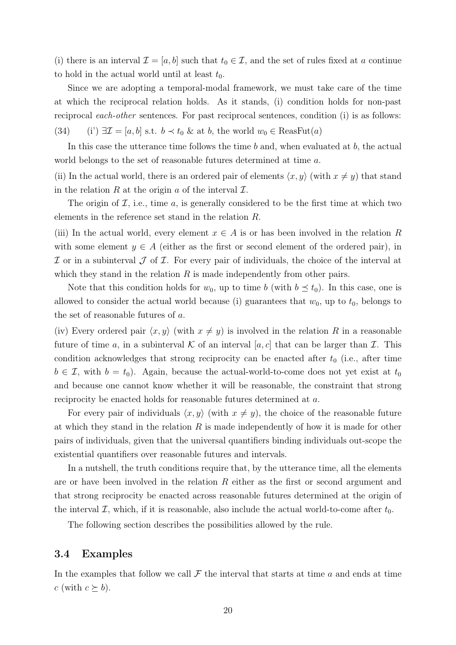(i) there is an interval  $\mathcal{I} = [a, b]$  such that  $t_0 \in \mathcal{I}$ , and the set of rules fixed at a continue to hold in the actual world until at least  $t_0$ .

Since we are adopting a temporal-modal framework, we must take care of the time at which the reciprocal relation holds. As it stands, (i) condition holds for non-past reciprocal each-other sentences. For past reciprocal sentences, condition (i) is as follows: (34) (i')  $\exists \mathcal{I} = [a, b] \text{ s.t. } b \prec t_0 \& \text{ at } b, \text{ the world } w_0 \in \text{ReasFut}(a)$ 

In this case the utterance time follows the time  $b$  and, when evaluated at  $b$ , the actual world belongs to the set of reasonable futures determined at time a.

(ii) In the actual world, there is an ordered pair of elements  $\langle x, y \rangle$  (with  $x \neq y$ ) that stand in the relation R at the origin a of the interval  $\mathcal{I}$ .

The origin of  $\mathcal{I}$ , i.e., time a, is generally considered to be the first time at which two elements in the reference set stand in the relation R.

(iii) In the actual world, every element  $x \in A$  is or has been involved in the relation R with some element  $y \in A$  (either as the first or second element of the ordered pair), in  $\mathcal I$  or in a subinterval  $\mathcal J$  of  $\mathcal I$ . For every pair of individuals, the choice of the interval at which they stand in the relation  $R$  is made independently from other pairs.

Note that this condition holds for  $w_0$ , up to time b (with  $b \preceq t_0$ ). In this case, one is allowed to consider the actual world because (i) guarantees that  $w_0$ , up to  $t_0$ , belongs to the set of reasonable futures of a.

(iv) Every ordered pair  $\langle x, y \rangle$  (with  $x \neq y$ ) is involved in the relation R in a reasonable future of time a, in a subinterval K of an interval [a, c] that can be larger than  $\mathcal{I}$ . This condition acknowledges that strong reciprocity can be enacted after  $t_0$  (i.e., after time  $b \in \mathcal{I}$ , with  $b = t_0$ ). Again, because the actual-world-to-come does not yet exist at  $t_0$ and because one cannot know whether it will be reasonable, the constraint that strong reciprocity be enacted holds for reasonable futures determined at a.

For every pair of individuals  $\langle x, y \rangle$  (with  $x \neq y$ ), the choice of the reasonable future at which they stand in the relation  $R$  is made independently of how it is made for other pairs of individuals, given that the universal quantifiers binding individuals out-scope the existential quantifiers over reasonable futures and intervals.

In a nutshell, the truth conditions require that, by the utterance time, all the elements are or have been involved in the relation R either as the first or second argument and that strong reciprocity be enacted across reasonable futures determined at the origin of the interval  $\mathcal{I}$ , which, if it is reasonable, also include the actual world-to-come after  $t_0$ .

The following section describes the possibilities allowed by the rule.

## 3.4 Examples

In the examples that follow we call  $\mathcal F$  the interval that starts at time a and ends at time c (with  $c \succeq b$ ).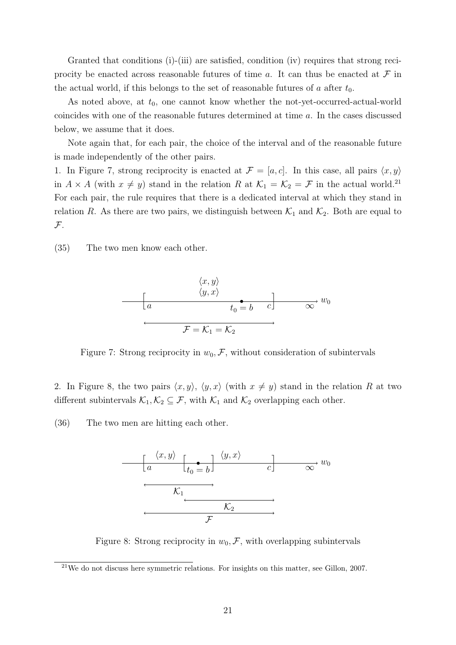Granted that conditions (i)-(iii) are satisfied, condition (iv) requires that strong reciprocity be enacted across reasonable futures of time a. It can thus be enacted at  $\mathcal F$  in the actual world, if this belongs to the set of reasonable futures of  $a$  after  $t_0$ .

As noted above, at  $t_0$ , one cannot know whether the not-yet-occurred-actual-world coincides with one of the reasonable futures determined at time a. In the cases discussed below, we assume that it does.

Note again that, for each pair, the choice of the interval and of the reasonable future is made independently of the other pairs.

1. In Figure 7, strong reciprocity is enacted at  $\mathcal{F} = [a, c]$ . In this case, all pairs  $\langle x, y \rangle$ in  $A \times A$  (with  $x \neq y$ ) stand in the relation R at  $\mathcal{K}_1 = \mathcal{K}_2 = \mathcal{F}$  in the actual world.<sup>21</sup> For each pair, the rule requires that there is a dedicated interval at which they stand in relation R. As there are two pairs, we distinguish between  $\mathcal{K}_1$  and  $\mathcal{K}_2$ . Both are equal to  $\mathcal{F}.$ 

(35) The two men know each other.



Figure 7: Strong reciprocity in  $w_0$ , F, without consideration of subintervals

2. In Figure 8, the two pairs  $\langle x, y \rangle$ ,  $\langle y, x \rangle$  (with  $x \neq y$ ) stand in the relation R at two different subintervals  $\mathcal{K}_1, \mathcal{K}_2 \subseteq \mathcal{F}$ , with  $\mathcal{K}_1$  and  $\mathcal{K}_2$  overlapping each other.

(36) The two men are hitting each other.



Figure 8: Strong reciprocity in  $w_0$ , F, with overlapping subintervals

 $21$ We do not discuss here symmetric relations. For insights on this matter, see Gillon, 2007.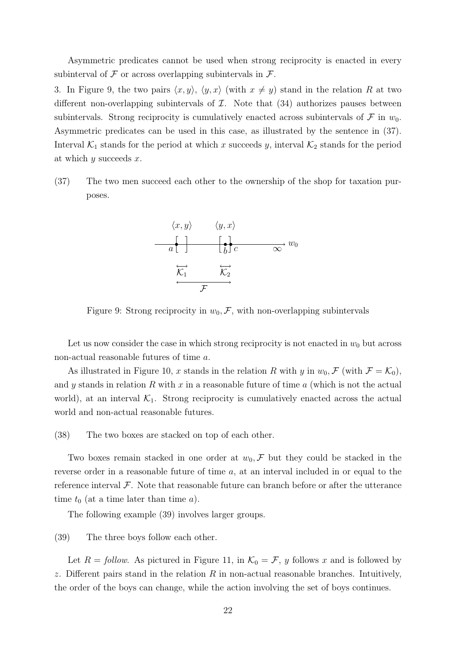Asymmetric predicates cannot be used when strong reciprocity is enacted in every subinterval of  $\mathcal F$  or across overlapping subintervals in  $\mathcal F$ .

3. In Figure 9, the two pairs  $\langle x, y \rangle$ ,  $\langle y, x \rangle$  (with  $x \neq y$ ) stand in the relation R at two different non-overlapping subintervals of  $I$ . Note that  $(34)$  authorizes pauses between subintervals. Strong reciprocity is cumulatively enacted across subintervals of  $\mathcal F$  in  $w_0$ . Asymmetric predicates can be used in this case, as illustrated by the sentence in (37). Interval  $\mathcal{K}_1$  stands for the period at which x succeeds y, interval  $\mathcal{K}_2$  stands for the period at which  $y$  succeeds  $x$ .

(37) The two men succeed each other to the ownership of the shop for taxation purposes.



Figure 9: Strong reciprocity in  $w_0$ , F, with non-overlapping subintervals

Let us now consider the case in which strong reciprocity is not enacted in  $w_0$  but across non-actual reasonable futures of time a.

As illustrated in Figure 10, x stands in the relation R with y in  $w_0$ ,  $\mathcal F$  (with  $\mathcal F = \mathcal K_0$ ), and y stands in relation R with x in a reasonable future of time  $a$  (which is not the actual world), at an interval  $\mathcal{K}_1$ . Strong reciprocity is cumulatively enacted across the actual world and non-actual reasonable futures.

(38) The two boxes are stacked on top of each other.

Two boxes remain stacked in one order at  $w_0$ , F but they could be stacked in the reverse order in a reasonable future of time a, at an interval included in or equal to the reference interval  $\mathcal F$ . Note that reasonable future can branch before or after the utterance time  $t_0$  (at a time later than time a).

The following example (39) involves larger groups.

(39) The three boys follow each other.

Let  $R =$  follow. As pictured in Figure 11, in  $\mathcal{K}_0 = \mathcal{F}$ , y follows x and is followed by z. Different pairs stand in the relation  $R$  in non-actual reasonable branches. Intuitively, the order of the boys can change, while the action involving the set of boys continues.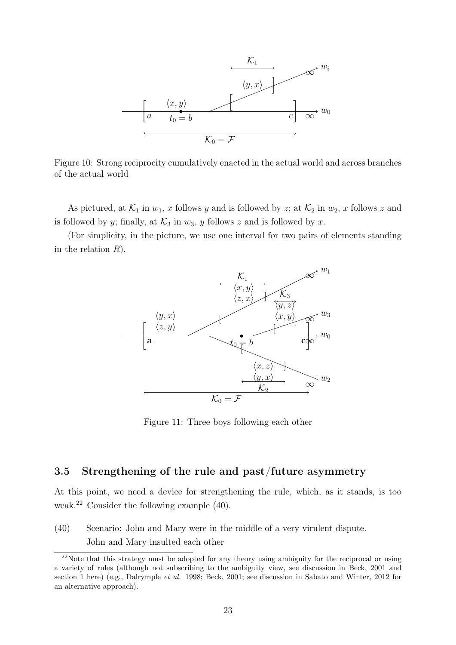

Figure 10: Strong reciprocity cumulatively enacted in the actual world and across branches of the actual world

As pictured, at  $\mathcal{K}_1$  in  $w_1$ , x follows y and is followed by z; at  $\mathcal{K}_2$  in  $w_2$ , x follows z and is followed by y; finally, at  $\mathcal{K}_3$  in  $w_3$ , y follows z and is followed by x.

(For simplicity, in the picture, we use one interval for two pairs of elements standing in the relation  $R$ ).



Figure 11: Three boys following each other

## 3.5 Strengthening of the rule and past/future asymmetry

At this point, we need a device for strengthening the rule, which, as it stands, is too weak.<sup>22</sup> Consider the following example (40).

(40) Scenario: John and Mary were in the middle of a very virulent dispute. John and Mary insulted each other

 $^{22}$ Note that this strategy must be adopted for any theory using ambiguity for the reciprocal or using a variety of rules (although not subscribing to the ambiguity view, see discussion in Beck, 2001 and section 1 here) (e.g., Dalrymple et al. 1998; Beck, 2001; see discussion in Sabato and Winter, 2012 for an alternative approach).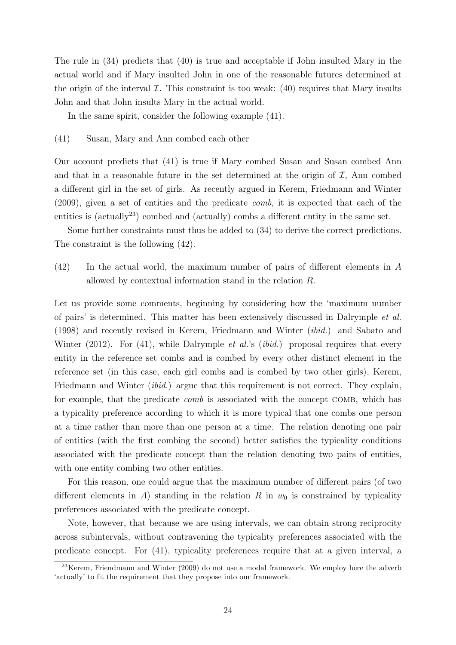The rule in (34) predicts that (40) is true and acceptable if John insulted Mary in the actual world and if Mary insulted John in one of the reasonable futures determined at the origin of the interval  $\mathcal I$ . This constraint is too weak: (40) requires that Mary insults John and that John insults Mary in the actual world.

In the same spirit, consider the following example (41).

(41) Susan, Mary and Ann combed each other

Our account predicts that (41) is true if Mary combed Susan and Susan combed Ann and that in a reasonable future in the set determined at the origin of  $I$ , Ann combed a different girl in the set of girls. As recently argued in Kerem, Friedmann and Winter (2009), given a set of entities and the predicate comb, it is expected that each of the entities is (actually<sup>23</sup>) combed and (actually) combs a different entity in the same set.

Some further constraints must thus be added to (34) to derive the correct predictions. The constraint is the following (42).

(42) In the actual world, the maximum number of pairs of different elements in A allowed by contextual information stand in the relation R.

Let us provide some comments, beginning by considering how the 'maximum number of pairs' is determined. This matter has been extensively discussed in Dalrymple et al. (1998) and recently revised in Kerem, Friedmann and Winter (ibid.) and Sabato and Winter (2012). For (41), while Dalrymple *et al.*'s *(ibid.)* proposal requires that every entity in the reference set combs and is combed by every other distinct element in the reference set (in this case, each girl combs and is combed by two other girls), Kerem, Friedmann and Winter *(ibid.)* argue that this requirement is not correct. They explain, for example, that the predicate *comb* is associated with the concept COMB, which has a typicality preference according to which it is more typical that one combs one person at a time rather than more than one person at a time. The relation denoting one pair of entities (with the first combing the second) better satisfies the typicality conditions associated with the predicate concept than the relation denoting two pairs of entities, with one entity combing two other entities.

For this reason, one could argue that the maximum number of different pairs (of two different elements in A) standing in the relation R in  $w_0$  is constrained by typicality preferences associated with the predicate concept.

Note, however, that because we are using intervals, we can obtain strong reciprocity across subintervals, without contravening the typicality preferences associated with the predicate concept. For (41), typicality preferences require that at a given interval, a

 $23$ Kerem, Friendmann and Winter (2009) do not use a modal framework. We employ here the adverb 'actually' to fit the requirement that they propose into our framework.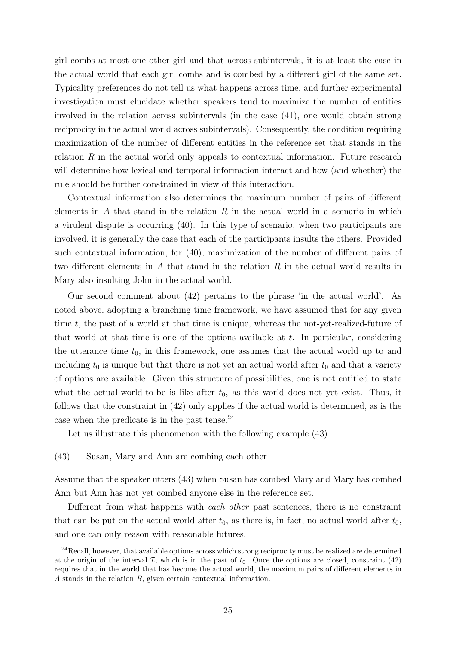girl combs at most one other girl and that across subintervals, it is at least the case in the actual world that each girl combs and is combed by a different girl of the same set. Typicality preferences do not tell us what happens across time, and further experimental investigation must elucidate whether speakers tend to maximize the number of entities involved in the relation across subintervals (in the case (41), one would obtain strong reciprocity in the actual world across subintervals). Consequently, the condition requiring maximization of the number of different entities in the reference set that stands in the relation R in the actual world only appeals to contextual information. Future research will determine how lexical and temporal information interact and how (and whether) the rule should be further constrained in view of this interaction.

Contextual information also determines the maximum number of pairs of different elements in  $A$  that stand in the relation  $R$  in the actual world in a scenario in which a virulent dispute is occurring (40). In this type of scenario, when two participants are involved, it is generally the case that each of the participants insults the others. Provided such contextual information, for (40), maximization of the number of different pairs of two different elements in  $A$  that stand in the relation  $R$  in the actual world results in Mary also insulting John in the actual world.

Our second comment about (42) pertains to the phrase 'in the actual world'. As noted above, adopting a branching time framework, we have assumed that for any given time t, the past of a world at that time is unique, whereas the not-yet-realized-future of that world at that time is one of the options available at  $t$ . In particular, considering the utterance time  $t_0$ , in this framework, one assumes that the actual world up to and including  $t_0$  is unique but that there is not yet an actual world after  $t_0$  and that a variety of options are available. Given this structure of possibilities, one is not entitled to state what the actual-world-to-be is like after  $t_0$ , as this world does not yet exist. Thus, it follows that the constraint in (42) only applies if the actual world is determined, as is the case when the predicate is in the past tense. $^{24}$ 

Let us illustrate this phenomenon with the following example  $(43)$ .

#### (43) Susan, Mary and Ann are combing each other

Assume that the speaker utters (43) when Susan has combed Mary and Mary has combed Ann but Ann has not yet combed anyone else in the reference set.

Different from what happens with each other past sentences, there is no constraint that can be put on the actual world after  $t_0$ , as there is, in fact, no actual world after  $t_0$ , and one can only reason with reasonable futures.

<sup>&</sup>lt;sup>24</sup>Recall, however, that available options across which strong reciprocity must be realized are determined at the origin of the interval  $\mathcal I$ , which is in the past of  $t_0$ . Once the options are closed, constraint (42) requires that in the world that has become the actual world, the maximum pairs of different elements in A stands in the relation R, given certain contextual information.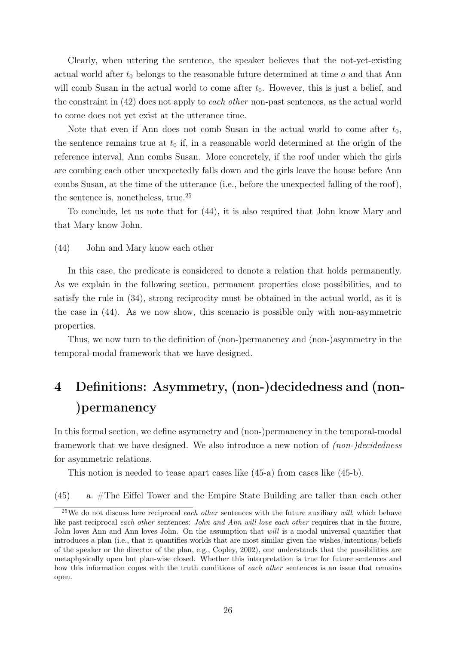Clearly, when uttering the sentence, the speaker believes that the not-yet-existing actual world after  $t_0$  belongs to the reasonable future determined at time a and that Ann will comb Susan in the actual world to come after  $t_0$ . However, this is just a belief, and the constraint in (42) does not apply to each other non-past sentences, as the actual world to come does not yet exist at the utterance time.

Note that even if Ann does not comb Susan in the actual world to come after  $t_0$ , the sentence remains true at  $t_0$  if, in a reasonable world determined at the origin of the reference interval, Ann combs Susan. More concretely, if the roof under which the girls are combing each other unexpectedly falls down and the girls leave the house before Ann combs Susan, at the time of the utterance (i.e., before the unexpected falling of the roof), the sentence is, nonetheless, true.<sup>25</sup>

To conclude, let us note that for (44), it is also required that John know Mary and that Mary know John.

#### (44) John and Mary know each other

In this case, the predicate is considered to denote a relation that holds permanently. As we explain in the following section, permanent properties close possibilities, and to satisfy the rule in (34), strong reciprocity must be obtained in the actual world, as it is the case in (44). As we now show, this scenario is possible only with non-asymmetric properties.

Thus, we now turn to the definition of (non-)permanency and (non-)asymmetry in the temporal-modal framework that we have designed.

# 4 Definitions: Asymmetry, (non-)decidedness and (non- )permanency

In this formal section, we define asymmetry and (non-)permanency in the temporal-modal framework that we have designed. We also introduce a new notion of (non-)decidedness for asymmetric relations.

This notion is needed to tease apart cases like (45-a) from cases like (45-b).

(45) a. #The Eiffel Tower and the Empire State Building are taller than each other

 $25$ We do not discuss here reciprocal each other sentences with the future auxiliary will, which behave like past reciprocal each other sentences: John and Ann will love each other requires that in the future, John loves Ann and Ann loves John. On the assumption that will is a modal universal quantifier that introduces a plan (i.e., that it quantifies worlds that are most similar given the wishes/intentions/beliefs of the speaker or the director of the plan, e.g., Copley, 2002), one understands that the possibilities are metaphysically open but plan-wise closed. Whether this interpretation is true for future sentences and how this information copes with the truth conditions of *each other* sentences is an issue that remains open.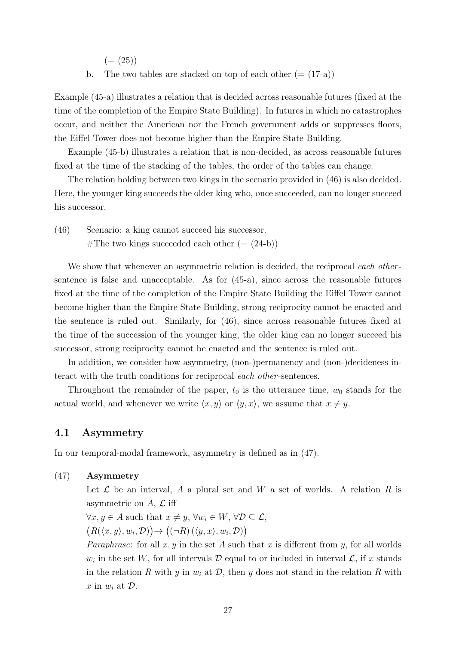$(=(25))$ 

b. The two tables are stacked on top of each other  $(=(17-a))$ 

Example (45-a) illustrates a relation that is decided across reasonable futures (fixed at the time of the completion of the Empire State Building). In futures in which no catastrophes occur, and neither the American nor the French government adds or suppresses floors, the Eiffel Tower does not become higher than the Empire State Building.

Example (45-b) illustrates a relation that is non-decided, as across reasonable futures fixed at the time of the stacking of the tables, the order of the tables can change.

The relation holding between two kings in the scenario provided in (46) is also decided. Here, the younger king succeeds the older king who, once succeeded, can no longer succeed his successor.

(46) Scenario: a king cannot succeed his successor. #The two kings succeeded each other  $(=(24-b))$ 

We show that whenever an asymmetric relation is decided, the reciprocal each othersentence is false and unacceptable. As for (45-a), since across the reasonable futures fixed at the time of the completion of the Empire State Building the Eiffel Tower cannot become higher than the Empire State Building, strong reciprocity cannot be enacted and the sentence is ruled out. Similarly, for (46), since across reasonable futures fixed at the time of the succession of the younger king, the older king can no longer succeed his successor, strong reciprocity cannot be enacted and the sentence is ruled out.

In addition, we consider how asymmetry, (non-)permanency and (non-)decideness interact with the truth conditions for reciprocal each other -sentences.

Throughout the remainder of the paper,  $t_0$  is the utterance time,  $w_0$  stands for the actual world, and whenever we write  $\langle x, y \rangle$  or  $\langle y, x \rangle$ , we assume that  $x \neq y$ .

## 4.1 Asymmetry

In our temporal-modal framework, asymmetry is defined as in (47).

(47) Asymmetry

Let  $\mathcal L$  be an interval, A a plural set and W a set of worlds. A relation R is asymmetric on  $A, \mathcal{L}$  iff

 $\forall x, y \in A$  such that  $x \neq y$ ,  $\forall w_i \in W$ ,  $\forall \mathcal{D} \subseteq \mathcal{L}$ ,  $(R(\langle x, y \rangle, w_i, \mathcal{D})) \rightarrow ((\neg R) (\langle y, x \rangle, w_i, \mathcal{D}))$ 

Paraphrase: for all  $x, y$  in the set A such that  $x$  is different from  $y$ , for all worlds  $w_i$  in the set W, for all intervals  $\mathcal D$  equal to or included in interval  $\mathcal L$ , if x stands in the relation R with y in  $w_i$  at  $\mathcal{D}$ , then y does not stand in the relation R with x in  $w_i$  at  $\mathcal{D}$ .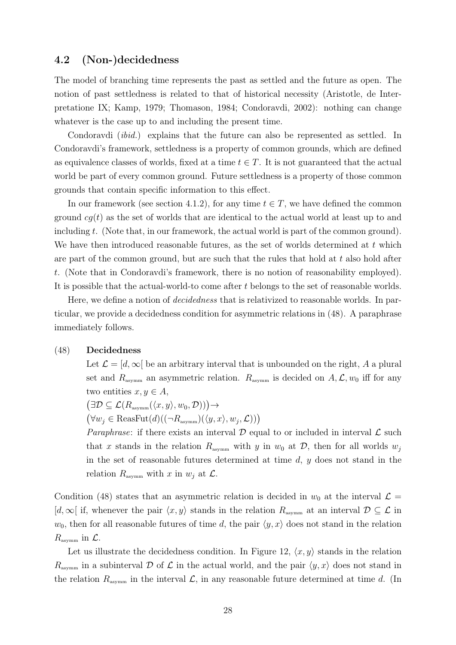## 4.2 (Non-)decidedness

The model of branching time represents the past as settled and the future as open. The notion of past settledness is related to that of historical necessity (Aristotle, de Interpretatione IX; Kamp, 1979; Thomason, 1984; Condoravdi, 2002): nothing can change whatever is the case up to and including the present time.

Condoravdi *(ibid.)* explains that the future can also be represented as settled. In Condoravdi's framework, settledness is a property of common grounds, which are defined as equivalence classes of worlds, fixed at a time  $t \in T$ . It is not guaranteed that the actual world be part of every common ground. Future settledness is a property of those common grounds that contain specific information to this effect.

In our framework (see section 4.1.2), for any time  $t \in T$ , we have defined the common ground  $cg(t)$  as the set of worlds that are identical to the actual world at least up to and including t. (Note that, in our framework, the actual world is part of the common ground). We have then introduced reasonable futures, as the set of worlds determined at  $t$  which are part of the common ground, but are such that the rules that hold at  $t$  also hold after t. (Note that in Condoravdi's framework, there is no notion of reasonability employed). It is possible that the actual-world-to come after t belongs to the set of reasonable worlds.

Here, we define a notion of decidedness that is relativized to reasonable worlds. In particular, we provide a decidedness condition for asymmetric relations in (48). A paraphrase immediately follows.

#### (48) Decidedness

Let  $\mathcal{L} = [d, \infty]$  be an arbitrary interval that is unbounded on the right, A a plural set and  $R_{\text{asymm}}$  an asymmetric relation.  $R_{\text{asymm}}$  is decided on  $A, \mathcal{L}, w_0$  iff for any two entities  $x, y \in A$ ,

 $(\exists \mathcal{D} \subseteq \mathcal{L}(R_{\text{asymm}}(\langle x, y \rangle, w_0, \mathcal{D}))) \rightarrow$ 

 $(\forall w_j \in \text{ReasFut}(d)((\neg R_{\text{asymm}})(\langle y, x \rangle, w_j, \mathcal{L})))$ 

*Paraphrase:* if there exists an interval  $D$  equal to or included in interval  $\mathcal{L}$  such that x stands in the relation  $R_{\text{asymm}}$  with y in  $w_0$  at  $\mathcal{D}$ , then for all worlds  $w_j$ in the set of reasonable futures determined at time  $d, y$  does not stand in the relation  $R_{\text{asymm}}$  with x in  $w_i$  at  $\mathcal{L}$ .

Condition (48) states that an asymmetric relation is decided in  $w_0$  at the interval  $\mathcal{L} =$  $[d, \infty]$  if, whenever the pair  $\langle x, y \rangle$  stands in the relation  $R_{\text{asymm}}$  at an interval  $\mathcal{D} \subseteq \mathcal{L}$  in  $w_0$ , then for all reasonable futures of time d, the pair  $\langle y, x \rangle$  does not stand in the relation  $R_{\text{asymm}}$  in  $\mathcal{L}$ .

Let us illustrate the decidedness condition. In Figure 12,  $\langle x, y \rangle$  stands in the relation  $R_{\text{asymm}}$  in a subinterval D of L in the actual world, and the pair  $\langle y, x \rangle$  does not stand in the relation  $R_{\text{asymm}}$  in the interval  $\mathcal{L}$ , in any reasonable future determined at time d. (In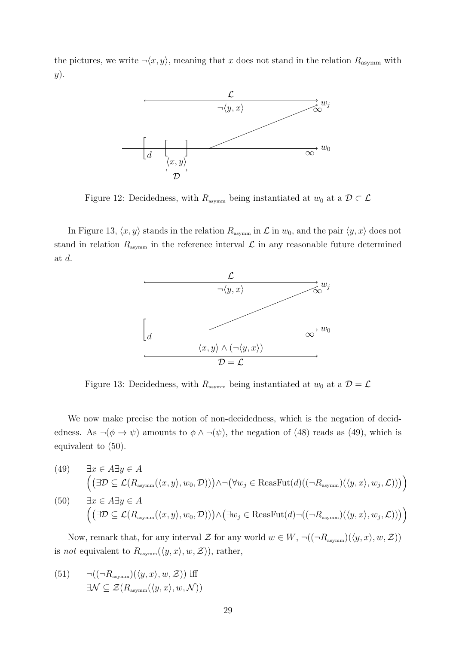the pictures, we write  $\neg \langle x, y \rangle$ , meaning that x does not stand in the relation  $R_{\text{asymm}}$  with  $y).$ 



Figure 12: Decidedness, with  $R_{\text{asymm}}$  being instantiated at  $w_0$  at a  $\mathcal{D} \subset \mathcal{L}$ 

In Figure 13,  $\langle x, y \rangle$  stands in the relation  $R_{\text{asymm}}$  in  $\mathcal L$  in  $w_0$ , and the pair  $\langle y, x \rangle$  does not stand in relation  $R_{\text{asymm}}$  in the reference interval  $\mathcal L$  in any reasonable future determined at d.



Figure 13: Decidedness, with  $R_{\text{asymm}}$  being instantiated at  $w_0$  at a  $\mathcal{D} = \mathcal{L}$ 

We now make precise the notion of non-decidedness, which is the negation of decidedness. As  $\neg(\phi \rightarrow \psi)$  amounts to  $\phi \land \neg(\psi)$ , the negation of (48) reads as (49), which is equivalent to (50).

(49) 
$$
\exists x \in A \exists y \in A
$$

$$
(\exists \mathcal{D} \subseteq \mathcal{L}(R_{\text{asymm}}(\langle x, y \rangle, w_0, \mathcal{D}))) \land \neg(\forall w_j \in \text{ReasFut}(d)((\neg R_{\text{asymm}})(\langle y, x \rangle, w_j, \mathcal{L})))
$$

$$
\exists x \in A \exists y \in A
$$

$$
(\exists \mathcal{D} \subseteq \mathcal{L}(R_{\text{asymm}}(\langle x, y \rangle, w_0, \mathcal{D}))) \land (\exists w_j \in \text{ReasFut}(d) \land ((\neg R_{\text{asymm}})(\langle y, x \rangle, w_j, \mathcal{L})))
$$

Now, remark that, for any interval Z for any world  $w \in W$ ,  $\neg((\neg R_{\text{asymm}})(\langle y, x \rangle, w, \mathcal{Z}))$ is not equivalent to  $R_{\text{asymm}}(\langle y, x \rangle, w, \mathcal{Z})$ , rather,

(51) 
$$
\neg((\neg R_{\text{asymm}})(\langle y, x \rangle, w, \mathcal{Z})) \text{ iff}
$$

$$
\exists \mathcal{N} \subseteq \mathcal{Z}(R_{\text{asymm}}(\langle y, x \rangle, w, \mathcal{N}))
$$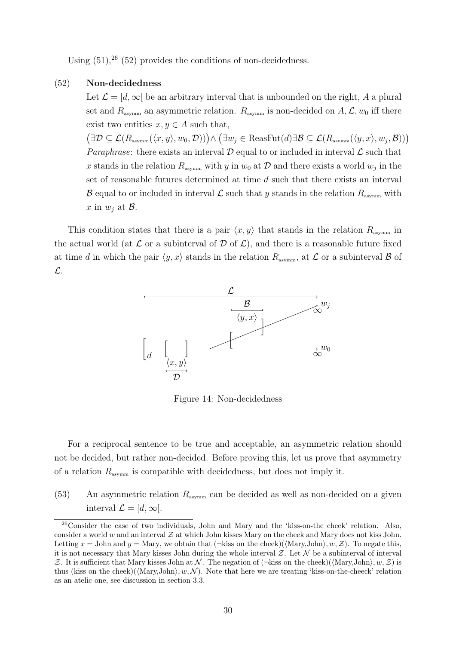Using  $(51)$ ,<sup>26</sup> (52) provides the conditions of non-decidedness.

#### (52) Non-decidedness

Let  $\mathcal{L} = [d, \infty]$  be an arbitrary interval that is unbounded on the right, A a plural set and  $R_{\text{asymm}}$  an asymmetric relation.  $R_{\text{asymm}}$  is non-decided on  $A, \mathcal{L}, w_0$  iff there exist two entities  $x, y \in A$  such that,

 $(\exists \mathcal{D} \subseteq \mathcal{L}(R_{\text{asymm}}(\langle x, y \rangle, w_0, \mathcal{D}))) \wedge (\exists w_j \in \text{ReasFut}(d) \exists \mathcal{B} \subseteq \mathcal{L}(R_{\text{asymm}}(\langle y, x \rangle, w_j, \mathcal{B})))$ *Paraphrase:* there exists an interval  $D$  equal to or included in interval  $\mathcal L$  such that x stands in the relation  $R_{\text{asymm}}$  with y in  $w_0$  at  $\mathcal D$  and there exists a world  $w_j$  in the set of reasonable futures determined at time d such that there exists an interval B equal to or included in interval  $\mathcal L$  such that y stands in the relation  $R_{\text{asvmm}}$  with x in  $w_j$  at  $\mathcal{B}$ .

This condition states that there is a pair  $\langle x, y \rangle$  that stands in the relation  $R_{\text{asymm}}$  in the actual world (at  $\mathcal L$  or a subinterval of  $\mathcal D$  of  $\mathcal L$ ), and there is a reasonable future fixed at time d in which the pair  $\langle y, x \rangle$  stands in the relation  $R_{\text{asymm}}$ , at  $\mathcal L$  or a subinterval  $\mathcal B$  of L.



Figure 14: Non-decidedness

For a reciprocal sentence to be true and acceptable, an asymmetric relation should not be decided, but rather non-decided. Before proving this, let us prove that asymmetry of a relation  $R_{\text{asymm}}$  is compatible with decidedness, but does not imply it.

 $(53)$  An asymmetric relation  $R_{\text{asvmm}}$  can be decided as well as non-decided on a given interval  $\mathcal{L} = [d, \infty)$ .

<sup>26</sup>Consider the case of two individuals, John and Mary and the 'kiss-on-the cheek' relation. Also, consider a world w and an interval  $\mathcal Z$  at which John kisses Mary on the cheek and Mary does not kiss John. Letting  $x =$  John and  $y =$  Mary, we obtain that  $(\neg$ kiss on the cheek)( $\langle \text{Mary.John}\rangle, w, \mathcal{Z}$ ). To negate this, it is not necessary that Mary kisses John during the whole interval  $\mathcal{Z}$ . Let N be a subinterval of interval Z. It is sufficient that Mary kisses John at N. The negation of  $(\neg$ kiss on the cheek)( $\langle \text{Mary,John}} \rangle, w, Z$ ) is thus (kiss on the cheek)( $\langle \text{Mary,John} \rangle, w, \mathcal{N}$ ). Note that here we are treating 'kiss-on-the-cheeck' relation as an atelic one, see discussion in section 3.3.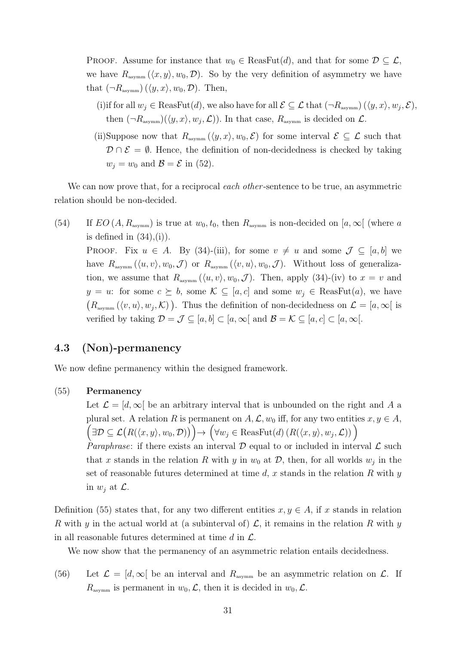PROOF. Assume for instance that  $w_0 \in \text{ReasFut}(d)$ , and that for some  $\mathcal{D} \subseteq \mathcal{L}$ , we have  $R_{\text{asymm}}(\langle x, y \rangle, w_0, \mathcal{D})$ . So by the very definition of asymmetry we have that  $(\neg R_{\text{asymm}}) (\langle y, x \rangle, w_0, \mathcal{D})$ . Then,

- (i)if for all  $w_j \in \text{ReasFut}(d)$ , we also have for all  $\mathcal{E} \subseteq \mathcal{L}$  that  $(\neg R_{\text{asymm}}) (\langle y, x \rangle, w_j, \mathcal{E})$ , then  $(\neg R_{\text{asymm}})(\langle y, x \rangle, w_j, \mathcal{L})$ . In that case,  $R_{\text{asymm}}$  is decided on  $\mathcal{L}$ .
- (ii)Suppose now that  $R_{\text{asymm}}(\langle y, x \rangle, w_0, \mathcal{E})$  for some interval  $\mathcal{E} \subseteq \mathcal{L}$  such that  $\mathcal{D} \cap \mathcal{E} = \emptyset$ . Hence, the definition of non-decidedness is checked by taking  $w_i = w_0$  and  $\mathcal{B} = \mathcal{E}$  in (52).

We can now prove that, for a reciprocal *each other*-sentence to be true, an asymmetric relation should be non-decided.

(54) If  $EO (A, R_{\text{asymm}})$  is true at  $w_0, t_0$ , then  $R_{\text{asymm}}$  is non-decided on  $[a, \infty)$  (where a is defined in  $(34),(i)$ .

PROOF. Fix  $u \in A$ . By (34)-(iii), for some  $v \neq u$  and some  $\mathcal{J} \subseteq [a, b]$  we have  $R_{\text{asymm}}(\langle u, v \rangle, w_0, \mathcal{J})$  or  $R_{\text{asymm}}(\langle v, u \rangle, w_0, \mathcal{J})$ . Without loss of generalization, we assume that  $R_{\text{asymm}}(\langle u, v \rangle, w_0, \mathcal{J})$ . Then, apply (34)-(iv) to  $x = v$  and  $y = u$ : for some  $c \succeq b$ , some  $\mathcal{K} \subseteq [a, c]$  and some  $w_j \in \text{ReasFut}(a)$ , we have  $(R_{\text{asymm}}(\langle v, u \rangle, w_j, \mathcal{K}))$ . Thus the definition of non-decidedness on  $\mathcal{L} = [a, \infty)$  is verified by taking  $\mathcal{D} = \mathcal{J} \subseteq [a, b] \subset [a, \infty[$  and  $\mathcal{B} = \mathcal{K} \subseteq [a, c] \subset [a, \infty[$ .

## 4.3 (Non)-permanency

We now define permanency within the designed framework.

#### (55) Permanency

Let  $\mathcal{L} = [d, \infty]$  be an arbitrary interval that is unbounded on the right and A a plural set. A relation R is permanent on  $A, \mathcal{L}, w_0$  iff, for any two entities  $x, y \in A$ ,  $\big(\exists \mathcal{D} \subseteq \mathcal{L}\big(R(\langle x,y \rangle,w_0,\mathcal{D})\big)\big) \rightarrow \big(\forall w_j \in \text{ReasFut}(d) \left(R(\langle x,y \rangle,w_j,\mathcal{L})\right)\big)$ *Paraphrase:* if there exists an interval  $D$  equal to or included in interval  $\mathcal{L}$  such

that x stands in the relation R with y in  $w_0$  at D, then, for all worlds  $w_j$  in the set of reasonable futures determined at time  $d, x$  stands in the relation  $R$  with  $y$ in  $w_i$  at  $\mathcal{L}$ .

Definition (55) states that, for any two different entities  $x, y \in A$ , if x stands in relation R with y in the actual world at (a subinterval of)  $\mathcal{L}$ , it remains in the relation R with y in all reasonable futures determined at time  $d$  in  $\mathcal{L}$ .

We now show that the permanency of an asymmetric relation entails decidedness.

(56) Let  $\mathcal{L} = [d, \infty]$  be an interval and  $R_{\text{asymm}}$  be an asymmetric relation on  $\mathcal{L}$ . If  $R_{\text{asymm}}$  is permanent in  $w_0, \mathcal{L}$ , then it is decided in  $w_0, \mathcal{L}$ .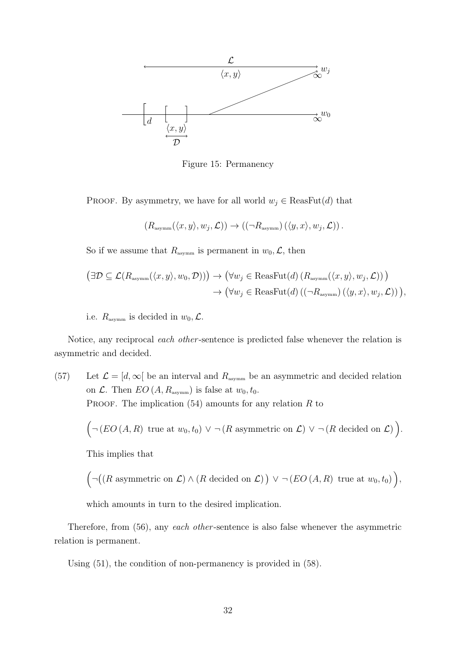

Figure 15: Permanency

PROOF. By asymmetry, we have for all world  $w_j \in \text{ReasFut}(d)$  that

$$
(R_{\text{asymm}}(\langle x, y \rangle, w_j, \mathcal{L})) \rightarrow ((\neg R_{\text{asymm}}) (\langle y, x \rangle, w_j, \mathcal{L})).
$$

So if we assume that  $R_{\text{asymm}}$  is permanent in  $w_0, \mathcal{L}$ , then

$$
\begin{aligned} \left(\exists \mathcal{D} \subseteq \mathcal{L}(R_{\text{asymm}}(\langle x, y \rangle, w_0, \mathcal{D}))\right) &\to \left(\forall w_j \in \text{ReasFut}(d) \left(R_{\text{asymm}}(\langle x, y \rangle, w_j, \mathcal{L})\right)\right) \\ &\to \left(\forall w_j \in \text{ReasFut}(d) \left((\neg R_{\text{asymm}}) \left(\langle y, x \rangle, w_j, \mathcal{L}\right)\right)\right), \end{aligned}
$$

i.e.  $R_{\text{asymm}}$  is decided in  $w_0, \mathcal{L}$ .

Notice, any reciprocal each other -sentence is predicted false whenever the relation is asymmetric and decided.

(57) Let  $\mathcal{L} = [d, \infty]$  be an interval and  $R_{\text{asymm}}$  be an asymmetric and decided relation on  $\mathcal{L}$ . Then  $EO (A, R_{\text{asymm}})$  is false at  $w_0, t_0$ . PROOF. The implication  $(54)$  amounts for any relation R to  $\big(\neg (EO(A, R) \text{ true at } w_0, t_0) \lor \neg (R \text{ asymmetric on } \mathcal{L}) \lor \neg (R \text{ decided on } \mathcal{L})\big).$ 

This implies that

$$
\Big(\neg((R \text{ asymmetric on }\mathcal{L}) \wedge (R \text{ decided on }\mathcal{L})) \vee \neg(EO(A, R) \text{ true at } w_0, t_0)\Big),
$$

which amounts in turn to the desired implication.

Therefore, from (56), any each other-sentence is also false whenever the asymmetric relation is permanent.

Using (51), the condition of non-permanency is provided in (58).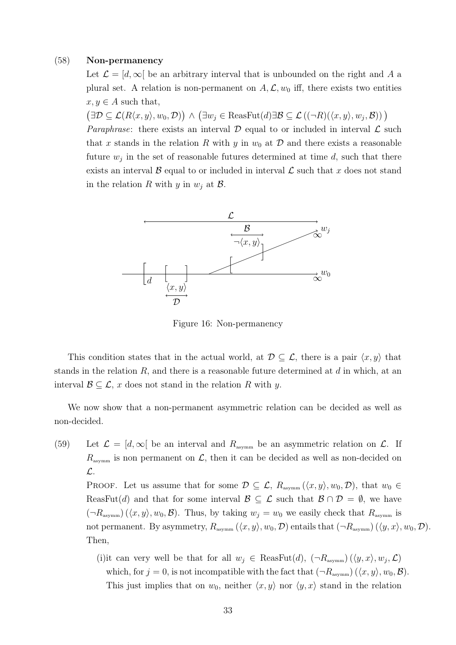#### (58) Non-permanency

Let  $\mathcal{L} = [d, \infty]$  be an arbitrary interval that is unbounded on the right and A a plural set. A relation is non-permanent on  $A, \mathcal{L}, w_0$  iff, there exists two entities  $x, y \in A$  such that,

 $(\exists \mathcal{D} \subseteq \mathcal{L}(R\langle x,y\rangle, w_0, \mathcal{D})) \wedge (\exists w_j \in \text{ReasFut}(d) \exists \mathcal{B} \subseteq \mathcal{L}((\neg R)(\langle x,y\rangle, w_j, \mathcal{B})))$ 

Paraphrase: there exists an interval  $D$  equal to or included in interval  $\mathcal L$  such that x stands in the relation R with y in  $w_0$  at D and there exists a reasonable future  $w_j$  in the set of reasonable futures determined at time d, such that there exists an interval  $\beta$  equal to or included in interval  $\mathcal L$  such that x does not stand in the relation R with y in  $w_i$  at B.



Figure 16: Non-permanency

This condition states that in the actual world, at  $\mathcal{D} \subseteq \mathcal{L}$ , there is a pair  $\langle x, y \rangle$  that stands in the relation  $R$ , and there is a reasonable future determined at  $d$  in which, at an interval  $\mathcal{B} \subseteq \mathcal{L}$ , x does not stand in the relation R with y.

We now show that a non-permanent asymmetric relation can be decided as well as non-decided.

- (59) Let  $\mathcal{L} = [d, \infty]$  be an interval and  $R_{\text{asymm}}$  be an asymmetric relation on  $\mathcal{L}$ . If  $R_{\text{asymm}}$  is non permanent on  $\mathcal{L}$ , then it can be decided as well as non-decided on L. PROOF. Let us assume that for some  $\mathcal{D} \subseteq \mathcal{L}$ ,  $R_{\text{asymm}}(\langle x, y \rangle, w_0, \mathcal{D})$ , that  $w_0 \in$ ReasFut(d) and that for some interval  $\mathcal{B} \subseteq \mathcal{L}$  such that  $\mathcal{B} \cap \mathcal{D} = \emptyset$ , we have  $(\neg R_{\text{asymm}}) (\langle x, y \rangle, w_0, \mathcal{B})$ . Thus, by taking  $w_j = w_0$  we easily check that  $R_{\text{asymm}}$  is not permanent. By asymmetry,  $R_{\text{asymm}}(\langle x, y \rangle, w_0, \mathcal{D})$  entails that  $(\neg R_{\text{asymm}}) (\langle y, x \rangle, w_0, \mathcal{D})$ . Then,
	- (i)it can very well be that for all  $w_j \in \text{ReasFut}(d)$ ,  $(\neg R_{\text{asymm}})(\langle y, x \rangle, w_j, \mathcal{L})$ which, for  $j = 0$ , is not incompatible with the fact that  $(\neg R_{\text{asymm}})$   $(\langle x, y \rangle, w_0, \mathcal{B})$ . This just implies that on  $w_0$ , neither  $\langle x, y \rangle$  nor  $\langle y, x \rangle$  stand in the relation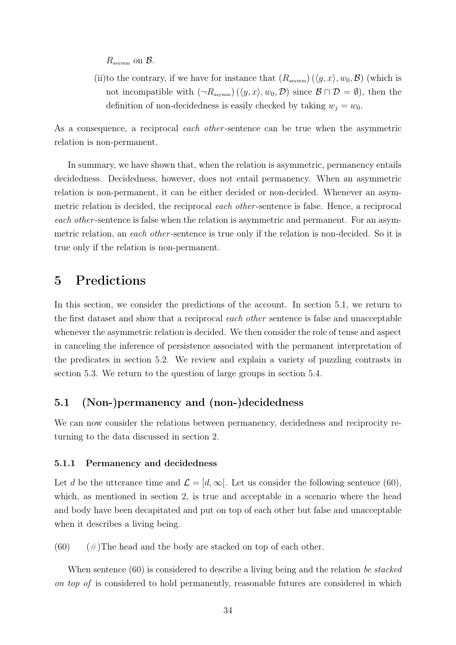$R_{\text{asymm}}$  on  $\beta$ .

(ii)to the contrary, if we have for instance that  $(R_{\text{asymm}}) (\langle y, x \rangle, w_0, \mathcal{B})$  (which is not incompatible with  $(\neg R_{\text{asymm}}) (\langle y, x \rangle, w_0, \mathcal{D})$  since  $\mathcal{B} \cap \mathcal{D} = \emptyset$ , then the definition of non-decidedness is easily checked by taking  $w_j = w_0$ .

As a consequence, a reciprocal *each other*-sentence can be true when the asymmetric relation is non-permanent.

In summary, we have shown that, when the relation is asymmetric, permanency entails decidedness. Decidedness, however, does not entail permanency. When an asymmetric relation is non-permanent, it can be either decided or non-decided. Whenever an asymmetric relation is decided, the reciprocal each other -sentence is false. Hence, a reciprocal each other-sentence is false when the relation is asymmetric and permanent. For an asymmetric relation, an each other-sentence is true only if the relation is non-decided. So it is true only if the relation is non-permanent.

# 5 Predictions

In this section, we consider the predictions of the account. In section 5.1, we return to the first dataset and show that a reciprocal each other sentence is false and unacceptable whenever the asymmetric relation is decided. We then consider the role of tense and aspect in canceling the inference of persistence associated with the permanent interpretation of the predicates in section 5.2. We review and explain a variety of puzzling contrasts in section 5.3. We return to the question of large groups in section 5.4.

## 5.1 (Non-)permanency and (non-)decidedness

We can now consider the relations between permanency, decidedness and reciprocity returning to the data discussed in section 2.

#### 5.1.1 Permanency and decidedness

Let d be the utterance time and  $\mathcal{L} = [d, \infty]$ . Let us consider the following sentence (60), which, as mentioned in section 2, is true and acceptable in a scenario where the head and body have been decapitated and put on top of each other but false and unacceptable when it describes a living being.

 $(60)$  (#)The head and the body are stacked on top of each other.

When sentence (60) is considered to describe a living being and the relation be stacked on top of is considered to hold permanently, reasonable futures are considered in which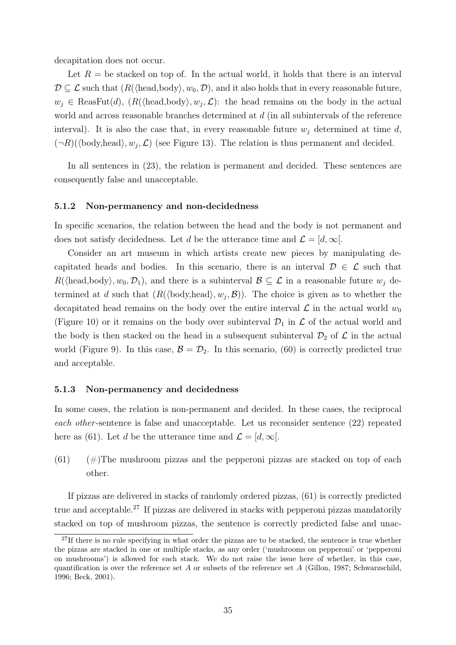decapitation does not occur.

Let  $R =$  be stacked on top of. In the actual world, it holds that there is an interval  $\mathcal{D} \subseteq \mathcal{L}$  such that  $(R(\text{head},\text{body}), w_0, \mathcal{D})$ , and it also holds that in every reasonable future,  $w_j \in \text{ReasFut}(d), \ (R(\text{head},\text{body}), w_j, \mathcal{L})$ : the head remains on the body in the actual world and across reasonable branches determined at d (in all subintervals of the reference interval). It is also the case that, in every reasonable future  $w_i$  determined at time d,  $(\neg R)(\langle \text{body,head} \rangle, w_j, \mathcal{L})$  (see Figure 13). The relation is thus permanent and decided.

In all sentences in (23), the relation is permanent and decided. These sentences are consequently false and unacceptable.

#### 5.1.2 Non-permanency and non-decidedness

In specific scenarios, the relation between the head and the body is not permanent and does not satisfy decidedness. Let d be the utterance time and  $\mathcal{L} = [d, \infty]$ .

Consider an art museum in which artists create new pieces by manipulating decapitated heads and bodies. In this scenario, there is an interval  $\mathcal{D} \in \mathcal{L}$  such that  $R(\langle \text{head}, \text{body}\rangle, w_0, \mathcal{D}_1)$ , and there is a subinterval  $\mathcal{B} \subseteq \mathcal{L}$  in a reasonable future  $w_j$  determined at d such that  $(R(\text{body,head}), w_j, \mathcal{B}))$ . The choice is given as to whether the decapitated head remains on the body over the entire interval  $\mathcal L$  in the actual world  $w_0$ (Figure 10) or it remains on the body over subinterval  $\mathcal{D}_1$  in  $\mathcal L$  of the actual world and the body is then stacked on the head in a subsequent subinterval  $\mathcal{D}_2$  of  $\mathcal L$  in the actual world (Figure 9). In this case,  $\mathcal{B} = \mathcal{D}_2$ . In this scenario, (60) is correctly predicted true and acceptable.

#### 5.1.3 Non-permanency and decidedness

In some cases, the relation is non-permanent and decided. In these cases, the reciprocal each other -sentence is false and unacceptable. Let us reconsider sentence (22) repeated here as (61). Let d be the utterance time and  $\mathcal{L} = [d, \infty]$ .

 $(61)$  (#)The mushroom pizzas and the pepperoni pizzas are stacked on top of each other.

If pizzas are delivered in stacks of randomly ordered pizzas, (61) is correctly predicted true and acceptable.<sup>27</sup> If pizzas are delivered in stacks with pepperoni pizzas mandatorily stacked on top of mushroom pizzas, the sentence is correctly predicted false and unac-

 $^{27}$ If there is no rule specifying in what order the pizzas are to be stacked, the sentence is true whether the pizzas are stacked in one or multiple stacks, as any order ('mushrooms on pepperoni' or 'pepperoni on mushrooms') is allowed for each stack. We do not raise the issue here of whether, in this case, quantification is over the reference set A or subsets of the reference set A (Gillon, 1987; Schwarzschild, 1996; Beck, 2001).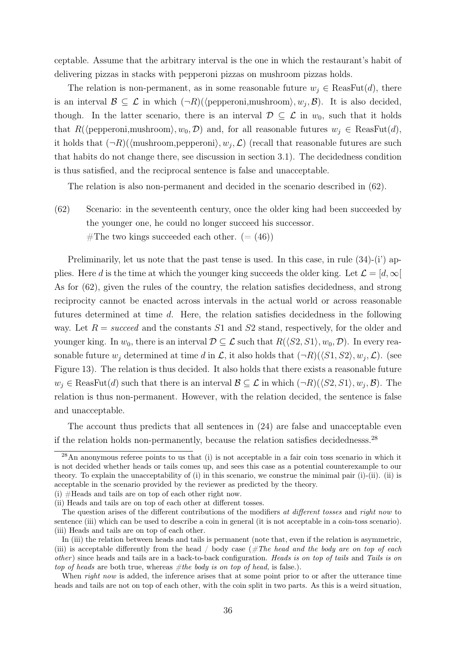ceptable. Assume that the arbitrary interval is the one in which the restaurant's habit of delivering pizzas in stacks with pepperoni pizzas on mushroom pizzas holds.

The relation is non-permanent, as in some reasonable future  $w_i \in \text{ReasFut}(d)$ , there is an interval  $\mathcal{B} \subseteq \mathcal{L}$  in which  $(\neg R)(\langle \text{pepperoni,mushroom} \rangle, w_j, \mathcal{B})$ . It is also decided, though. In the latter scenario, there is an interval  $\mathcal{D} \subseteq \mathcal{L}$  in  $w_0$ , such that it holds that  $R(\text{pepperoni}, \text{mushroom}), w_0, \mathcal{D})$  and, for all reasonable futures  $w_i \in \text{ReasFut}(d)$ , it holds that  $(\neg R)(\langle \text{mushroom}, \text{pepperoni}\rangle, w_j, \mathcal{L})$  (recall that reasonable futures are such that habits do not change there, see discussion in section 3.1). The decidedness condition is thus satisfied, and the reciprocal sentence is false and unacceptable.

The relation is also non-permanent and decided in the scenario described in (62).

(62) Scenario: in the seventeenth century, once the older king had been succeeded by the younger one, he could no longer succeed his successor.  $\#\text{The two kings succeeded each other. } (= (46))$ 

Preliminarily, let us note that the past tense is used. In this case, in rule  $(34)-(i)$  applies. Here d is the time at which the younger king succeeds the older king. Let  $\mathcal{L} = [d, \infty[$ As for (62), given the rules of the country, the relation satisfies decidedness, and strong reciprocity cannot be enacted across intervals in the actual world or across reasonable futures determined at time d. Here, the relation satisfies decidedness in the following way. Let  $R = succeed$  and the constants S1 and S2 stand, respectively, for the older and younger king. In  $w_0$ , there is an interval  $\mathcal{D} \subseteq \mathcal{L}$  such that  $R(\langle S2, S1 \rangle, w_0, \mathcal{D})$ . In every reasonable future  $w_j$  determined at time d in  $\mathcal{L}$ , it also holds that  $(\neg R)(\langle S1, S2 \rangle, w_j, \mathcal{L})$ . (see Figure 13). The relation is thus decided. It also holds that there exists a reasonable future  $w_j \in \text{ReasFut}(d)$  such that there is an interval  $\mathcal{B} \subseteq \mathcal{L}$  in which  $(\neg R)(\langle S2, S1 \rangle, w_j, \mathcal{B})$ . The relation is thus non-permanent. However, with the relation decided, the sentence is false and unacceptable.

The account thus predicts that all sentences in (24) are false and unacceptable even if the relation holds non-permanently, because the relation satisfies decidednesss.<sup>28</sup>

(i) #Heads and tails are on top of each other right now.

 $28$ An anonymous referee points to us that (i) is not acceptable in a fair coin toss scenario in which it is not decided whether heads or tails comes up, and sees this case as a potential counterexample to our theory. To explain the unacceptability of (i) in this scenario, we construe the minimal pair (i)-(ii). (ii) is acceptable in the scenario provided by the reviewer as predicted by the theory.

<sup>(</sup>ii) Heads and tails are on top of each other at different tosses.

The question arises of the different contributions of the modifiers at different tosses and right now to sentence (iii) which can be used to describe a coin in general (it is not acceptable in a coin-toss scenario). (iii) Heads and tails are on top of each other.

In (iii) the relation between heads and tails is permanent (note that, even if the relation is asymmetric, (iii) is acceptable differently from the head  $/$  body case ( $#The head and the body are on top of each$ other) since heads and tails are in a back-to-back configuration. Heads is on top of tails and Tails is on top of heads are both true, whereas  $#$ the body is on top of head, is false.).

When *right now* is added, the inference arises that at some point prior to or after the utterance time heads and tails are not on top of each other, with the coin split in two parts. As this is a weird situation,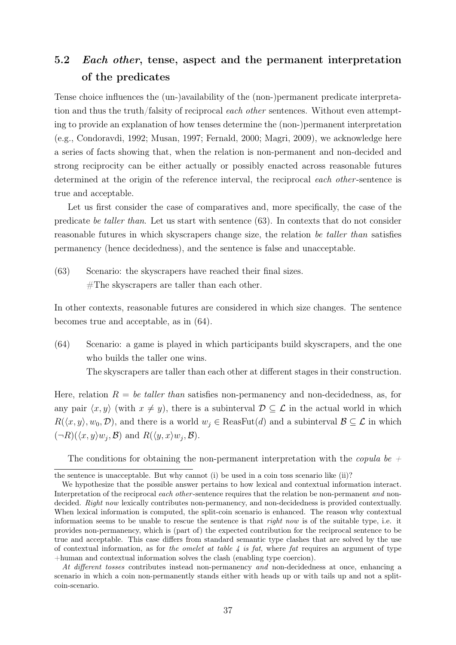# 5.2 Each other, tense, aspect and the permanent interpretation of the predicates

Tense choice influences the (un-)availability of the (non-)permanent predicate interpretation and thus the truth/falsity of reciprocal each other sentences. Without even attempting to provide an explanation of how tenses determine the (non-)permanent interpretation (e.g., Condoravdi, 1992; Musan, 1997; Fernald, 2000; Magri, 2009), we acknowledge here a series of facts showing that, when the relation is non-permanent and non-decided and strong reciprocity can be either actually or possibly enacted across reasonable futures determined at the origin of the reference interval, the reciprocal each other-sentence is true and acceptable.

Let us first consider the case of comparatives and, more specifically, the case of the predicate be taller than. Let us start with sentence (63). In contexts that do not consider reasonable futures in which skyscrapers change size, the relation be taller than satisfies permanency (hence decidedness), and the sentence is false and unacceptable.

(63) Scenario: the skyscrapers have reached their final sizes. #The skyscrapers are taller than each other.

In other contexts, reasonable futures are considered in which size changes. The sentence becomes true and acceptable, as in (64).

(64) Scenario: a game is played in which participants build skyscrapers, and the one who builds the taller one wins.

The skyscrapers are taller than each other at different stages in their construction.

Here, relation  $R = be$  *taller than* satisfies non-permanency and non-decidedness, as, for any pair  $\langle x, y \rangle$  (with  $x \neq y$ ), there is a subinterval  $\mathcal{D} \subset \mathcal{L}$  in the actual world in which  $R(\langle x, y \rangle, w_0, \mathcal{D})$ , and there is a world  $w_i \in \text{ReasFut}(d)$  and a subinterval  $\mathcal{B} \subseteq \mathcal{L}$  in which  $(\neg R)(\langle x, y \rangle w_j, \mathcal{B})$  and  $R(\langle y, x \rangle w_j, \mathcal{B})$ .

The conditions for obtaining the non-permanent interpretation with the *copula be*  $+$ 

the sentence is unacceptable. But why cannot (i) be used in a coin toss scenario like (ii)?

We hypothesize that the possible answer pertains to how lexical and contextual information interact. Interpretation of the reciprocal each other-sentence requires that the relation be non-permanent and nondecided. Right now lexically contributes non-permanency, and non-decidedness is provided contextually. When lexical information is computed, the split-coin scenario is enhanced. The reason why contextual information seems to be unable to rescue the sentence is that right now is of the suitable type, i.e. it provides non-permanency, which is (part of) the expected contribution for the reciprocal sentence to be true and acceptable. This case differs from standard semantic type clashes that are solved by the use of contextual information, as for the omelet at table  $\lambda$  is fat, where fat requires an argument of type +human and contextual information solves the clash (enabling type coercion).

At different tosses contributes instead non-permanency and non-decidedness at once, enhancing a scenario in which a coin non-permanently stands either with heads up or with tails up and not a splitcoin-scenario.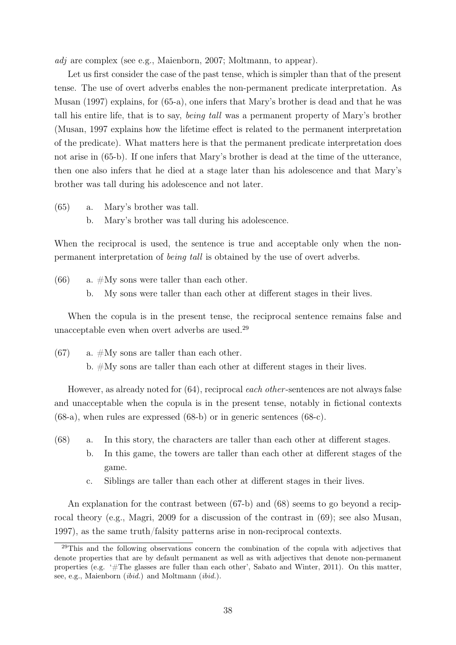adj are complex (see e.g., Maienborn, 2007; Moltmann, to appear).

Let us first consider the case of the past tense, which is simpler than that of the present tense. The use of overt adverbs enables the non-permanent predicate interpretation. As Musan (1997) explains, for (65-a), one infers that Mary's brother is dead and that he was tall his entire life, that is to say, being tall was a permanent property of Mary's brother (Musan, 1997 explains how the lifetime effect is related to the permanent interpretation of the predicate). What matters here is that the permanent predicate interpretation does not arise in (65-b). If one infers that Mary's brother is dead at the time of the utterance, then one also infers that he died at a stage later than his adolescence and that Mary's brother was tall during his adolescence and not later.

- (65) a. Mary's brother was tall.
	- b. Mary's brother was tall during his adolescence.

When the reciprocal is used, the sentence is true and acceptable only when the nonpermanent interpretation of being tall is obtained by the use of overt adverbs.

- $(66)$  a.  $\#My$  sons were taller than each other.
	- b. My sons were taller than each other at different stages in their lives.

When the copula is in the present tense, the reciprocal sentence remains false and unacceptable even when overt adverbs are used.<sup>29</sup>

 $(67)$  a.  $\#My$  sons are taller than each other. b. #My sons are taller than each other at different stages in their lives.

However, as already noted for (64), reciprocal each other -sentences are not always false and unacceptable when the copula is in the present tense, notably in fictional contexts  $(68-a)$ , when rules are expressed  $(68-b)$  or in generic sentences  $(68-c)$ .

- (68) a. In this story, the characters are taller than each other at different stages.
	- b. In this game, the towers are taller than each other at different stages of the game.
	- c. Siblings are taller than each other at different stages in their lives.

An explanation for the contrast between (67-b) and (68) seems to go beyond a reciprocal theory (e.g., Magri, 2009 for a discussion of the contrast in (69); see also Musan, 1997), as the same truth/falsity patterns arise in non-reciprocal contexts.

<sup>29</sup>This and the following observations concern the combination of the copula with adjectives that denote properties that are by default permanent as well as with adjectives that denote non-permanent properties (e.g. '#The glasses are fuller than each other', Sabato and Winter, 2011). On this matter, see, e.g., Maienborn (ibid.) and Moltmann (ibid.).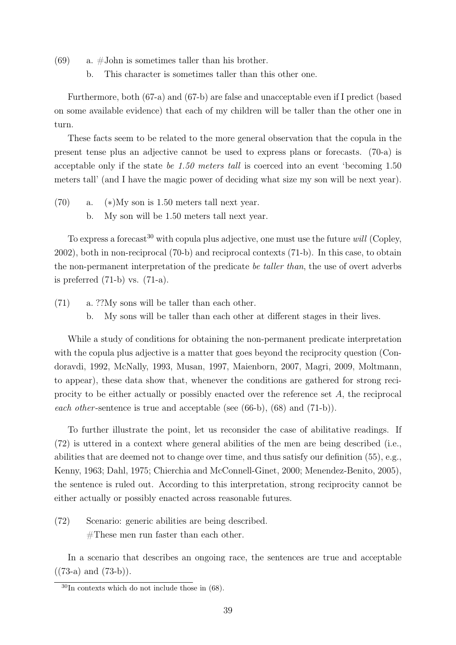$(69)$  a. #John is sometimes taller than his brother.

b. This character is sometimes taller than this other one.

Furthermore, both (67-a) and (67-b) are false and unacceptable even if I predict (based on some available evidence) that each of my children will be taller than the other one in turn.

These facts seem to be related to the more general observation that the copula in the present tense plus an adjective cannot be used to express plans or forecasts. (70-a) is acceptable only if the state be 1.50 meters tall is coerced into an event 'becoming 1.50 meters tall' (and I have the magic power of deciding what size my son will be next year).

(70) a. (∗)My son is 1.50 meters tall next year. b. My son will be 1.50 meters tall next year.

To express a forecast<sup>30</sup> with copula plus adjective, one must use the future *will* (Copley, 2002), both in non-reciprocal (70-b) and reciprocal contexts (71-b). In this case, to obtain the non-permanent interpretation of the predicate be taller than, the use of overt adverbs is preferred  $(71-b)$  vs.  $(71-a)$ .

- (71) a. ??My sons will be taller than each other.
	- b. My sons will be taller than each other at different stages in their lives.

While a study of conditions for obtaining the non-permanent predicate interpretation with the copula plus adjective is a matter that goes beyond the reciprocity question (Condoravdi, 1992, McNally, 1993, Musan, 1997, Maienborn, 2007, Magri, 2009, Moltmann, to appear), these data show that, whenever the conditions are gathered for strong reciprocity to be either actually or possibly enacted over the reference set A, the reciprocal each other -sentence is true and acceptable (see (66-b), (68) and (71-b)).

To further illustrate the point, let us reconsider the case of abilitative readings. If (72) is uttered in a context where general abilities of the men are being described (i.e., abilities that are deemed not to change over time, and thus satisfy our definition (55), e.g., Kenny, 1963; Dahl, 1975; Chierchia and McConnell-Ginet, 2000; Menendez-Benito, 2005), the sentence is ruled out. According to this interpretation, strong reciprocity cannot be either actually or possibly enacted across reasonable futures.

(72) Scenario: generic abilities are being described. #These men run faster than each other.

In a scenario that describes an ongoing race, the sentences are true and acceptable  $((73-a)$  and  $(73-b)$ ).

 $30$ In contexts which do not include those in (68).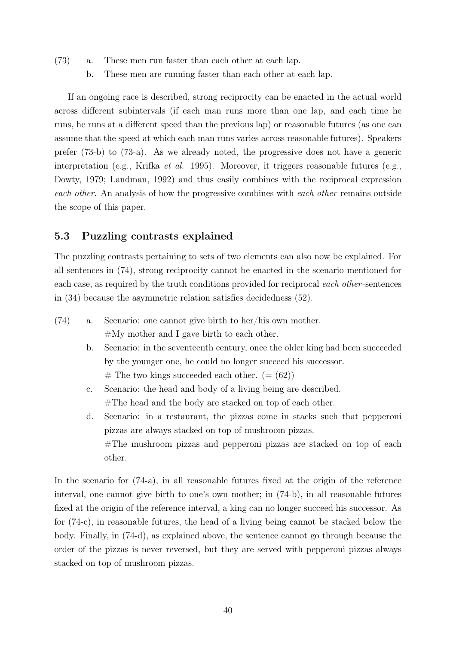- (73) a. These men run faster than each other at each lap.
	- b. These men are running faster than each other at each lap.

If an ongoing race is described, strong reciprocity can be enacted in the actual world across different subintervals (if each man runs more than one lap, and each time he runs, he runs at a different speed than the previous lap) or reasonable futures (as one can assume that the speed at which each man runs varies across reasonable futures). Speakers prefer (73-b) to (73-a). As we already noted, the progressive does not have a generic interpretation (e.g., Krifka *et al.* 1995). Moreover, it triggers reasonable futures (e.g., Dowty, 1979; Landman, 1992) and thus easily combines with the reciprocal expression each other. An analysis of how the progressive combines with each other remains outside the scope of this paper.

### 5.3 Puzzling contrasts explained

The puzzling contrasts pertaining to sets of two elements can also now be explained. For all sentences in (74), strong reciprocity cannot be enacted in the scenario mentioned for each case, as required by the truth conditions provided for reciprocal each other -sentences in (34) because the asymmetric relation satisfies decidedness (52).

- (74) a. Scenario: one cannot give birth to her/his own mother.  $#My$  mother and I gave birth to each other.
	- b. Scenario: in the seventeenth century, once the older king had been succeeded by the younger one, he could no longer succeed his successor. # The two kings succeeded each other.  $(=(62))$
	- c. Scenario: the head and body of a living being are described. #The head and the body are stacked on top of each other.
	- d. Scenario: in a restaurant, the pizzas come in stacks such that pepperoni pizzas are always stacked on top of mushroom pizzas. #The mushroom pizzas and pepperoni pizzas are stacked on top of each other.

In the scenario for (74-a), in all reasonable futures fixed at the origin of the reference interval, one cannot give birth to one's own mother; in (74-b), in all reasonable futures fixed at the origin of the reference interval, a king can no longer succeed his successor. As for (74-c), in reasonable futures, the head of a living being cannot be stacked below the body. Finally, in (74-d), as explained above, the sentence cannot go through because the order of the pizzas is never reversed, but they are served with pepperoni pizzas always stacked on top of mushroom pizzas.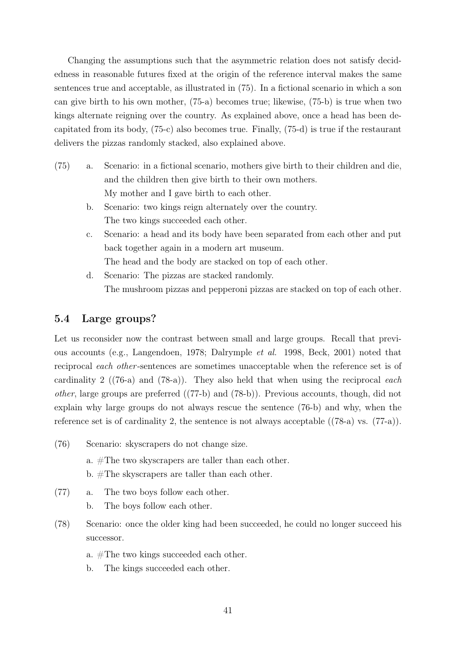Changing the assumptions such that the asymmetric relation does not satisfy decidedness in reasonable futures fixed at the origin of the reference interval makes the same sentences true and acceptable, as illustrated in (75). In a fictional scenario in which a son can give birth to his own mother, (75-a) becomes true; likewise, (75-b) is true when two kings alternate reigning over the country. As explained above, once a head has been decapitated from its body, (75-c) also becomes true. Finally, (75-d) is true if the restaurant delivers the pizzas randomly stacked, also explained above.

- (75) a. Scenario: in a fictional scenario, mothers give birth to their children and die, and the children then give birth to their own mothers. My mother and I gave birth to each other.
	- b. Scenario: two kings reign alternately over the country. The two kings succeeded each other.
	- c. Scenario: a head and its body have been separated from each other and put back together again in a modern art museum. The head and the body are stacked on top of each other.
	- d. Scenario: The pizzas are stacked randomly. The mushroom pizzas and pepperoni pizzas are stacked on top of each other.

## 5.4 Large groups?

Let us reconsider now the contrast between small and large groups. Recall that previous accounts (e.g., Langendoen, 1978; Dalrymple et al. 1998, Beck, 2001) noted that reciprocal each other -sentences are sometimes unacceptable when the reference set is of cardinality 2 ((76-a) and (78-a)). They also held that when using the reciprocal each other, large groups are preferred ((77-b) and (78-b)). Previous accounts, though, did not explain why large groups do not always rescue the sentence (76-b) and why, when the reference set is of cardinality 2, the sentence is not always acceptable ((78-a) vs. (77-a)).

(76) Scenario: skyscrapers do not change size.

a. #The two skyscrapers are taller than each other.

b. #The skyscrapers are taller than each other.

- (77) a. The two boys follow each other. b. The boys follow each other.
- (78) Scenario: once the older king had been succeeded, he could no longer succeed his successor.

a. #The two kings succeeded each other.

b. The kings succeeded each other.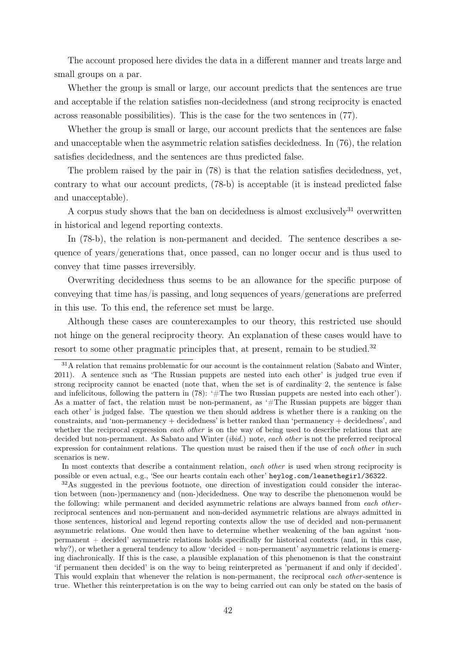The account proposed here divides the data in a different manner and treats large and small groups on a par.

Whether the group is small or large, our account predicts that the sentences are true and acceptable if the relation satisfies non-decidedness (and strong reciprocity is enacted across reasonable possibilities). This is the case for the two sentences in (77).

Whether the group is small or large, our account predicts that the sentences are false and unacceptable when the asymmetric relation satisfies decidedness. In (76), the relation satisfies decidedness, and the sentences are thus predicted false.

The problem raised by the pair in (78) is that the relation satisfies decidedness, yet, contrary to what our account predicts, (78-b) is acceptable (it is instead predicted false and unacceptable).

A corpus study shows that the ban on decidedness is almost exclusively<sup>31</sup> overwritten in historical and legend reporting contexts.

In (78-b), the relation is non-permanent and decided. The sentence describes a sequence of years/generations that, once passed, can no longer occur and is thus used to convey that time passes irreversibly.

Overwriting decidedness thus seems to be an allowance for the specific purpose of conveying that time has/is passing, and long sequences of years/generations are preferred in this use. To this end, the reference set must be large.

Although these cases are counterexamples to our theory, this restricted use should not hinge on the general reciprocity theory. An explanation of these cases would have to resort to some other pragmatic principles that, at present, remain to be studied.<sup>32</sup>

 $31A$  relation that remains problematic for our account is the containment relation (Sabato and Winter, 2011). A sentence such as 'The Russian puppets are nested into each other' is judged true even if strong reciprocity cannot be enacted (note that, when the set is of cardinality 2, the sentence is false and infelicitous, following the pattern in  $(78):$  '#The two Russian puppets are nested into each other'). As a matter of fact, the relation must be non-permanent, as '#The Russian puppets are bigger than each other' is judged false. The question we then should address is whether there is a ranking on the constraints, and 'non-permanency + decidedness' is better ranked than 'permanency + decidedness', and whether the reciprocal expression *each other* is on the way of being used to describe relations that are decided but non-permanent. As Sabato and Winter (ibid.) note, each other is not the preferred reciprocal expression for containment relations. The question must be raised then if the use of each other in such scenarios is new.

In most contexts that describe a containment relation, each other is used when strong reciprocity is possible or even actual, e.g., 'See our hearts contain each other' heylog.com/leanethegirl/36322.

<sup>&</sup>lt;sup>32</sup>As suggested in the previous footnote, one direction of investigation could consider the interaction between (non-)permanency and (non-)decidedness. One way to describe the phenomenon would be the following: while permanent and decided asymmetric relations are always banned from each otherreciprocal sentences and non-permanent and non-decided asymmetric relations are always admitted in those sentences, historical and legend reporting contexts allow the use of decided and non-permanent asymmetric relations. One would then have to determine whether weakening of the ban against 'nonpermanent + decided' asymmetric relations holds specifically for historical contexts (and, in this case, why?), or whether a general tendency to allow 'decided + non-permanent' asymmetric relations is emerging diachronically. If this is the case, a plausible explanation of this phenomenon is that the constraint 'if permanent then decided' is on the way to being reinterpreted as 'permanent if and only if decided'. This would explain that whenever the relation is non-permanent, the reciprocal each other -sentence is true. Whether this reinterpretation is on the way to being carried out can only be stated on the basis of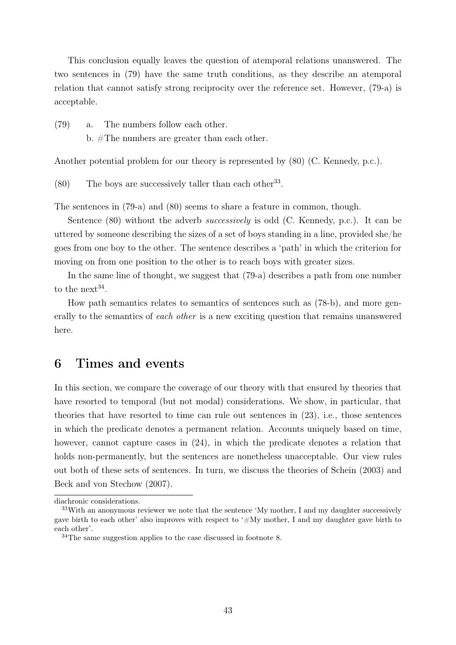This conclusion equally leaves the question of atemporal relations unanswered. The two sentences in (79) have the same truth conditions, as they describe an atemporal relation that cannot satisfy strong reciprocity over the reference set. However, (79-a) is acceptable.

(79) a. The numbers follow each other. b. #The numbers are greater than each other.

Another potential problem for our theory is represented by (80) (C. Kennedy, p.c.).

 $(80)$  The boys are successively taller than each other<sup>33</sup>.

The sentences in (79-a) and (80) seems to share a feature in common, though.

Sentence (80) without the adverb successively is odd (C. Kennedy, p.c.). It can be uttered by someone describing the sizes of a set of boys standing in a line, provided she/he goes from one boy to the other. The sentence describes a 'path' in which the criterion for moving on from one position to the other is to reach boys with greater sizes.

In the same line of thought, we suggest that (79-a) describes a path from one number to the  $next^{34}$ .

How path semantics relates to semantics of sentences such as (78-b), and more generally to the semantics of each other is a new exciting question that remains unanswered here.

# 6 Times and events

In this section, we compare the coverage of our theory with that ensured by theories that have resorted to temporal (but not modal) considerations. We show, in particular, that theories that have resorted to time can rule out sentences in (23), i.e., those sentences in which the predicate denotes a permanent relation. Accounts uniquely based on time, however, cannot capture cases in  $(24)$ , in which the predicate denotes a relation that holds non-permanently, but the sentences are nonetheless unacceptable. Our view rules out both of these sets of sentences. In turn, we discuss the theories of Schein (2003) and Beck and von Stechow (2007).

diachronic considerations.

<sup>&</sup>lt;sup>33</sup>With an anonymous reviewer we note that the sentence 'My mother, I and my daughter successively gave birth to each other' also improves with respect to ' $#My$  mother, I and my daughter gave birth to each other'.

<sup>34</sup>The same suggestion applies to the case discussed in footnote 8.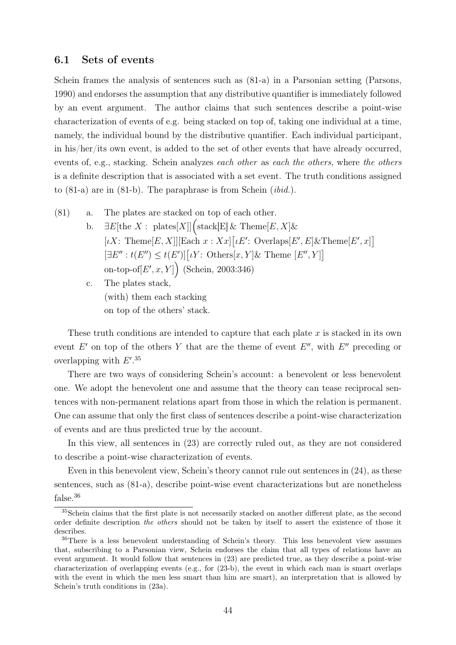### 6.1 Sets of events

Schein frames the analysis of sentences such as (81-a) in a Parsonian setting (Parsons, 1990) and endorses the assumption that any distributive quantifier is immediately followed by an event argument. The author claims that such sentences describe a point-wise characterization of events of e.g. being stacked on top of, taking one individual at a time, namely, the individual bound by the distributive quantifier. Each individual participant, in his/her/its own event, is added to the set of other events that have already occurred, events of, e.g., stacking. Schein analyzes each other as each the others, where the others is a definite description that is associated with a set event. The truth conditions assigned to  $(81-a)$  are in  $(81-b)$ . The paraphrase is from Schein  $(ibid.)$ .

- (81) a. The plates are stacked on top of each other. b.  $\exists E[\text{the } X : \text{ plates}[X]](\text{stack}[E] \& \text{Then} [E, X] \&$ [ $\iota X$ : Theme[E, X]][Each  $x$ :  $Xx$ ][ $\iota E'$ : Overlaps[E', E]&Theme[E', x]]  $[\exists E'': t(E'') \leq t(E') | [iY: \text{ Others}[x, Y] \& \text{There } [E'', Y]]$ on-top-of $[E', x, Y]$  (Schein, 2003:346) c. The plates stack,
	- (with) them each stacking on top of the others' stack.

These truth conditions are intended to capture that each plate x is stacked in its own event E' on top of the others Y that are the theme of event  $E''$ , with  $E''$  preceding or overlapping with  $E'.^{35}$ 

There are two ways of considering Schein's account: a benevolent or less benevolent one. We adopt the benevolent one and assume that the theory can tease reciprocal sentences with non-permanent relations apart from those in which the relation is permanent. One can assume that only the first class of sentences describe a point-wise characterization of events and are thus predicted true by the account.

In this view, all sentences in  $(23)$  are correctly ruled out, as they are not considered to describe a point-wise characterization of events.

Even in this benevolent view, Schein's theory cannot rule out sentences in (24), as these sentences, such as (81-a), describe point-wise event characterizations but are nonetheless false.<sup>36</sup>

<sup>&</sup>lt;sup>35</sup>Schein claims that the first plate is not necessarily stacked on another different plate, as the second order definite description the others should not be taken by itself to assert the existence of those it describes.

<sup>&</sup>lt;sup>36</sup>There is a less benevolent understanding of Schein's theory. This less benevolent view assumes that, subscribing to a Parsonian view, Schein endorses the claim that all types of relations have an event argument. It would follow that sentences in (23) are predicted true, as they describe a point-wise characterization of overlapping events (e.g., for (23-b), the event in which each man is smart overlaps with the event in which the men less smart than him are smart), an interpretation that is allowed by Schein's truth conditions in (23a).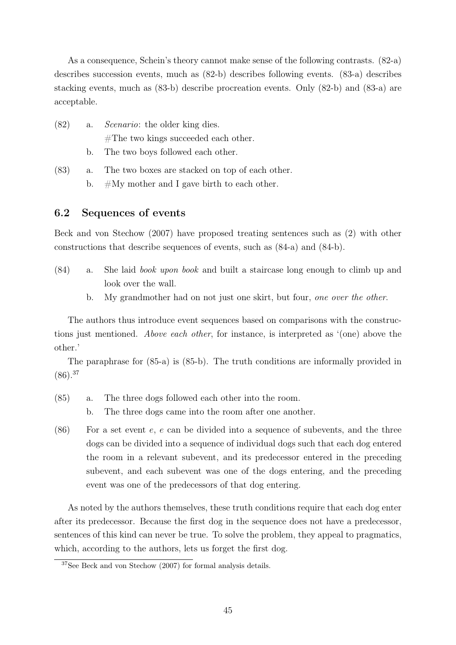As a consequence, Schein's theory cannot make sense of the following contrasts. (82-a) describes succession events, much as (82-b) describes following events. (83-a) describes stacking events, much as (83-b) describe procreation events. Only (82-b) and (83-a) are acceptable.

- (82) a. Scenario: the older king dies. #The two kings succeeded each other.
	- b. The two boys followed each other.
- (83) a. The two boxes are stacked on top of each other.
	- b.  $\#My$  mother and I gave birth to each other.

## 6.2 Sequences of events

Beck and von Stechow (2007) have proposed treating sentences such as (2) with other constructions that describe sequences of events, such as (84-a) and (84-b).

- (84) a. She laid book upon book and built a staircase long enough to climb up and look over the wall.
	- b. My grandmother had on not just one skirt, but four, one over the other.

The authors thus introduce event sequences based on comparisons with the constructions just mentioned. Above each other, for instance, is interpreted as '(one) above the other.'

The paraphrase for (85-a) is (85-b). The truth conditions are informally provided in  $(86).^{37}$ 

(85) a. The three dogs followed each other into the room.

b. The three dogs came into the room after one another.

(86) For a set event e, e can be divided into a sequence of subevents, and the three dogs can be divided into a sequence of individual dogs such that each dog entered the room in a relevant subevent, and its predecessor entered in the preceding subevent, and each subevent was one of the dogs entering, and the preceding event was one of the predecessors of that dog entering.

As noted by the authors themselves, these truth conditions require that each dog enter after its predecessor. Because the first dog in the sequence does not have a predecessor, sentences of this kind can never be true. To solve the problem, they appeal to pragmatics, which, according to the authors, lets us forget the first dog.

<sup>37</sup>See Beck and von Stechow (2007) for formal analysis details.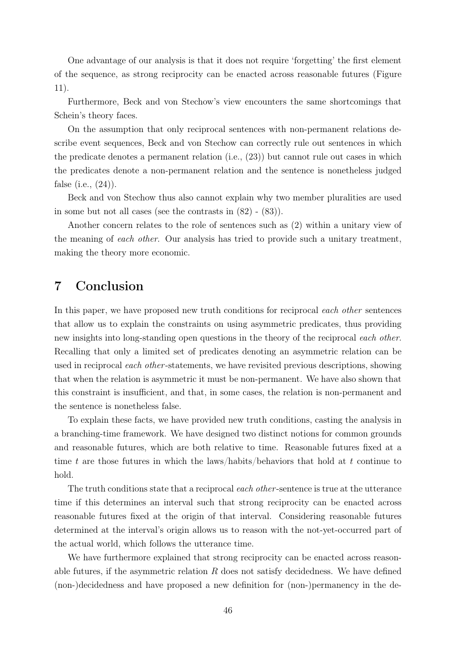One advantage of our analysis is that it does not require 'forgetting' the first element of the sequence, as strong reciprocity can be enacted across reasonable futures (Figure 11).

Furthermore, Beck and von Stechow's view encounters the same shortcomings that Schein's theory faces.

On the assumption that only reciprocal sentences with non-permanent relations describe event sequences, Beck and von Stechow can correctly rule out sentences in which the predicate denotes a permanent relation (i.e., (23)) but cannot rule out cases in which the predicates denote a non-permanent relation and the sentence is nonetheless judged false (i.e., (24)).

Beck and von Stechow thus also cannot explain why two member pluralities are used in some but not all cases (see the contrasts in (82) - (83)).

Another concern relates to the role of sentences such as (2) within a unitary view of the meaning of each other. Our analysis has tried to provide such a unitary treatment, making the theory more economic.

# 7 Conclusion

In this paper, we have proposed new truth conditions for reciprocal each other sentences that allow us to explain the constraints on using asymmetric predicates, thus providing new insights into long-standing open questions in the theory of the reciprocal each other. Recalling that only a limited set of predicates denoting an asymmetric relation can be used in reciprocal *each other*-statements, we have revisited previous descriptions, showing that when the relation is asymmetric it must be non-permanent. We have also shown that this constraint is insufficient, and that, in some cases, the relation is non-permanent and the sentence is nonetheless false.

To explain these facts, we have provided new truth conditions, casting the analysis in a branching-time framework. We have designed two distinct notions for common grounds and reasonable futures, which are both relative to time. Reasonable futures fixed at a time t are those futures in which the laws/habits/behaviors that hold at t continue to hold.

The truth conditions state that a reciprocal each other -sentence is true at the utterance time if this determines an interval such that strong reciprocity can be enacted across reasonable futures fixed at the origin of that interval. Considering reasonable futures determined at the interval's origin allows us to reason with the not-yet-occurred part of the actual world, which follows the utterance time.

We have furthermore explained that strong reciprocity can be enacted across reasonable futures, if the asymmetric relation  $R$  does not satisfy decidedness. We have defined (non-)decidedness and have proposed a new definition for (non-)permanency in the de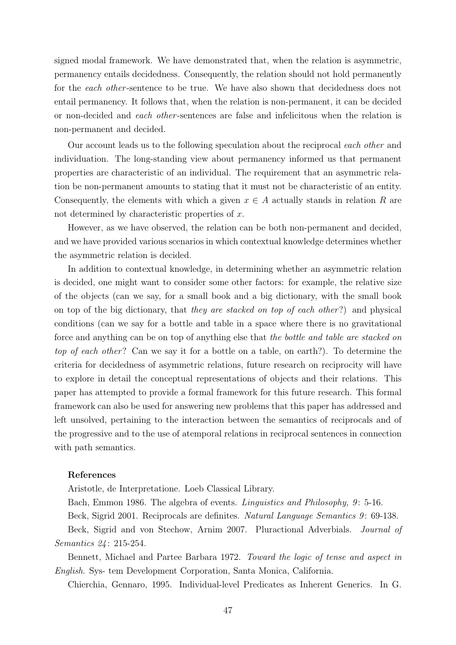signed modal framework. We have demonstrated that, when the relation is asymmetric, permanency entails decidedness. Consequently, the relation should not hold permanently for the each other-sentence to be true. We have also shown that decidedness does not entail permanency. It follows that, when the relation is non-permanent, it can be decided or non-decided and each other -sentences are false and infelicitous when the relation is non-permanent and decided.

Our account leads us to the following speculation about the reciprocal each other and individuation. The long-standing view about permanency informed us that permanent properties are characteristic of an individual. The requirement that an asymmetric relation be non-permanent amounts to stating that it must not be characteristic of an entity. Consequently, the elements with which a given  $x \in A$  actually stands in relation R are not determined by characteristic properties of x.

However, as we have observed, the relation can be both non-permanent and decided, and we have provided various scenarios in which contextual knowledge determines whether the asymmetric relation is decided.

In addition to contextual knowledge, in determining whether an asymmetric relation is decided, one might want to consider some other factors: for example, the relative size of the objects (can we say, for a small book and a big dictionary, with the small book on top of the big dictionary, that they are stacked on top of each other?) and physical conditions (can we say for a bottle and table in a space where there is no gravitational force and anything can be on top of anything else that the bottle and table are stacked on top of each other? Can we say it for a bottle on a table, on earth?). To determine the criteria for decidedness of asymmetric relations, future research on reciprocity will have to explore in detail the conceptual representations of objects and their relations. This paper has attempted to provide a formal framework for this future research. This formal framework can also be used for answering new problems that this paper has addressed and left unsolved, pertaining to the interaction between the semantics of reciprocals and of the progressive and to the use of atemporal relations in reciprocal sentences in connection with path semantics.

#### References

Aristotle, de Interpretatione. Loeb Classical Library.

Bach, Emmon 1986. The algebra of events. *Linguistics and Philosophy*, 9: 5-16.

Beck, Sigrid 2001. Reciprocals are definites. Natural Language Semantics 9: 69-138.

Beck, Sigrid and von Stechow, Arnim 2007. Pluractional Adverbials. Journal of Semantics 24: 215-254.

Bennett, Michael and Partee Barbara 1972. Toward the logic of tense and aspect in English. Sys- tem Development Corporation, Santa Monica, California.

Chierchia, Gennaro, 1995. Individual-level Predicates as Inherent Generics. In G.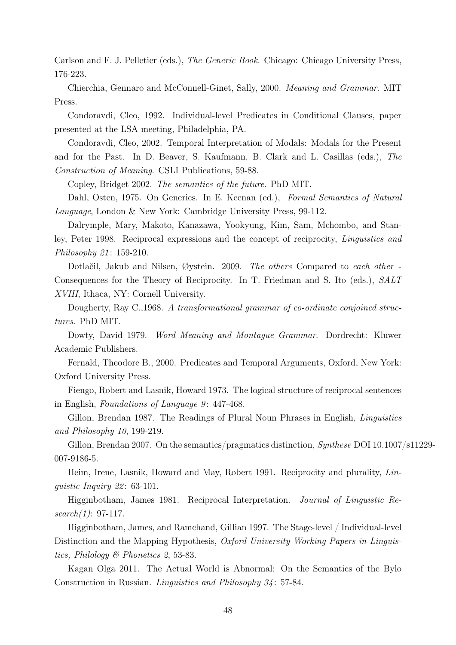Carlson and F. J. Pelletier (eds.), The Generic Book. Chicago: Chicago University Press, 176-223.

Chierchia, Gennaro and McConnell-Ginet, Sally, 2000. Meaning and Grammar. MIT Press.

Condoravdi, Cleo, 1992. Individual-level Predicates in Conditional Clauses, paper presented at the LSA meeting, Philadelphia, PA.

Condoravdi, Cleo, 2002. Temporal Interpretation of Modals: Modals for the Present and for the Past. In D. Beaver, S. Kaufmann, B. Clark and L. Casillas (eds.), The Construction of Meaning. CSLI Publications, 59-88.

Copley, Bridget 2002. The semantics of the future. PhD MIT.

Dahl, Osten, 1975. On Generics. In E. Keenan (ed.), Formal Semantics of Natural Language, London & New York: Cambridge University Press, 99-112.

Dalrymple, Mary, Makoto, Kanazawa, Yookyung, Kim, Sam, Mchombo, and Stanley, Peter 1998. Reciprocal expressions and the concept of reciprocity, Linguistics and Philosophy 21: 159-210.

Dotlačil, Jakub and Nilsen, Øystein. 2009. The others Compared to each other - Consequences for the Theory of Reciprocity. In T. Friedman and S. Ito (eds.), SALT XVIII, Ithaca, NY: Cornell University.

Dougherty, Ray C., 1968. A transformational grammar of co-ordinate conjoined structures. PhD MIT.

Dowty, David 1979. Word Meaning and Montague Grammar. Dordrecht: Kluwer Academic Publishers.

Fernald, Theodore B., 2000. Predicates and Temporal Arguments, Oxford, New York: Oxford University Press.

Fiengo, Robert and Lasnik, Howard 1973. The logical structure of reciprocal sentences in English, Foundations of Language 9: 447-468.

Gillon, Brendan 1987. The Readings of Plural Noun Phrases in English, *Linguistics* and Philosophy 10, 199-219.

Gillon, Brendan 2007. On the semantics/pragmatics distinction, *Synthese* DOI 10.1007/s11229-007-9186-5.

Heim, Irene, Lasnik, Howard and May, Robert 1991. Reciprocity and plurality, Linquistic Inquiry  $22:63-101$ .

Higginbotham, James 1981. Reciprocal Interpretation. Journal of Linguistic Re $search(1): 97-117.$ 

Higginbotham, James, and Ramchand, Gillian 1997. The Stage-level / Individual-level Distinction and the Mapping Hypothesis, Oxford University Working Papers in Linguistics, Philology & Phonetics 2, 53-83.

Kagan Olga 2011. The Actual World is Abnormal: On the Semantics of the Bylo Construction in Russian. *Linguistics and Philosophy 34*: 57-84.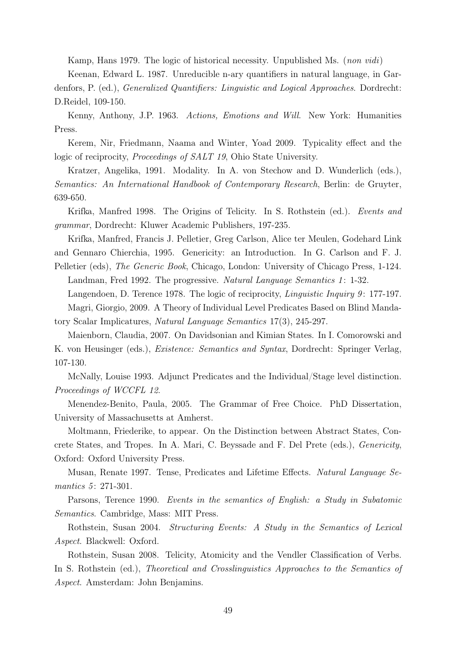Kamp, Hans 1979. The logic of historical necessity. Unpublished Ms. (non vidi)

Keenan, Edward L. 1987. Unreducible n-ary quantifiers in natural language, in Gardenfors, P. (ed.), Generalized Quantifiers: Linguistic and Logical Approaches. Dordrecht: D.Reidel, 109-150.

Kenny, Anthony, J.P. 1963. Actions, Emotions and Will. New York: Humanities Press.

Kerem, Nir, Friedmann, Naama and Winter, Yoad 2009. Typicality effect and the logic of reciprocity, Proceedings of SALT 19, Ohio State University.

Kratzer, Angelika, 1991. Modality. In A. von Stechow and D. Wunderlich (eds.), Semantics: An International Handbook of Contemporary Research, Berlin: de Gruyter, 639-650.

Krifka, Manfred 1998. The Origins of Telicity. In S. Rothstein (ed.). Events and grammar, Dordrecht: Kluwer Academic Publishers, 197-235.

Krifka, Manfred, Francis J. Pelletier, Greg Carlson, Alice ter Meulen, Godehard Link and Gennaro Chierchia, 1995. Genericity: an Introduction. In G. Carlson and F. J. Pelletier (eds), The Generic Book, Chicago, London: University of Chicago Press, 1-124.

Landman, Fred 1992. The progressive. Natural Language Semantics 1: 1-32.

Langendoen, D. Terence 1978. The logic of reciprocity, *Linguistic Inquiry 9*: 177-197. Magri, Giorgio, 2009. A Theory of Individual Level Predicates Based on Blind Manda-

tory Scalar Implicatures, Natural Language Semantics 17(3), 245-297.

Maienborn, Claudia, 2007. On Davidsonian and Kimian States. In I. Comorowski and K. von Heusinger (eds.), Existence: Semantics and Syntax, Dordrecht: Springer Verlag, 107-130.

McNally, Louise 1993. Adjunct Predicates and the Individual/Stage level distinction. Proceedings of WCCFL 12.

Menendez-Benito, Paula, 2005. The Grammar of Free Choice. PhD Dissertation, University of Massachusetts at Amherst.

Moltmann, Friederike, to appear. On the Distinction between Abstract States, Concrete States, and Tropes. In A. Mari, C. Beyssade and F. Del Prete (eds.), Genericity, Oxford: Oxford University Press.

Musan, Renate 1997. Tense, Predicates and Lifetime Effects. Natural Language Semantics 5: 271-301.

Parsons, Terence 1990. Events in the semantics of English: a Study in Subatomic Semantics. Cambridge, Mass: MIT Press.

Rothstein, Susan 2004. Structuring Events: A Study in the Semantics of Lexical Aspect. Blackwell: Oxford.

Rothstein, Susan 2008. Telicity, Atomicity and the Vendler Classification of Verbs. In S. Rothstein (ed.), Theoretical and Crosslinguistics Approaches to the Semantics of Aspect. Amsterdam: John Benjamins.